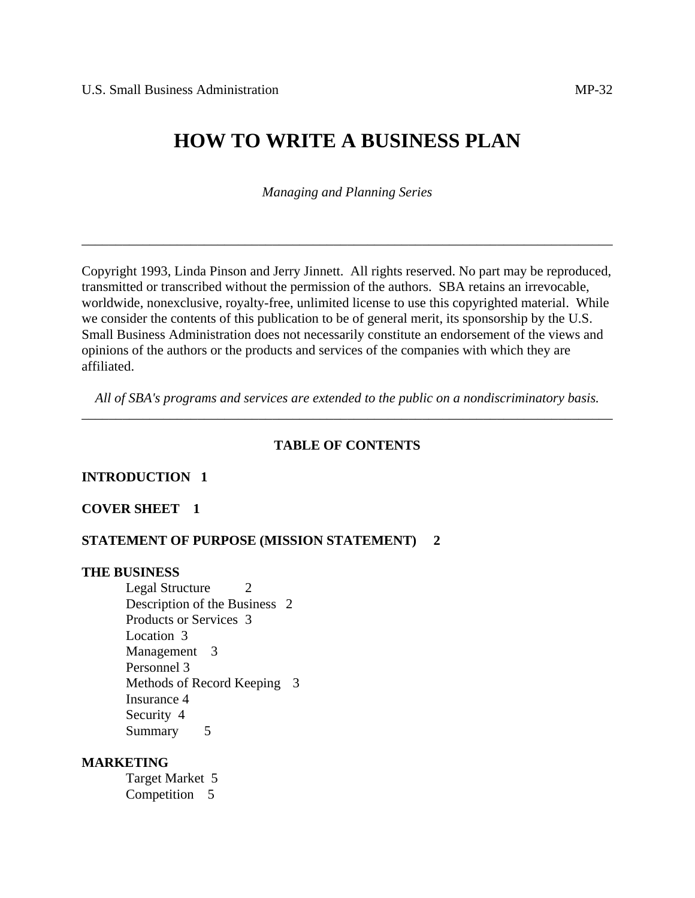# **HOW TO WRITE A BUSINESS PLAN**

*Managing and Planning Series*

\_\_\_\_\_\_\_\_\_\_\_\_\_\_\_\_\_\_\_\_\_\_\_\_\_\_\_\_\_\_\_\_\_\_\_\_\_\_\_\_\_\_\_\_\_\_\_\_\_\_\_\_\_\_\_\_\_\_\_\_\_\_\_\_\_\_\_\_\_\_\_\_\_\_\_\_\_\_

Copyright 1993, Linda Pinson and Jerry Jinnett. All rights reserved. No part may be reproduced, transmitted or transcribed without the permission of the authors. SBA retains an irrevocable, worldwide, nonexclusive, royalty-free, unlimited license to use this copyrighted material. While we consider the contents of this publication to be of general merit, its sponsorship by the U.S. Small Business Administration does not necessarily constitute an endorsement of the views and opinions of the authors or the products and services of the companies with which they are affiliated.

 *All of SBA's programs and services are extended to the public on a nondiscriminatory basis.* \_\_\_\_\_\_\_\_\_\_\_\_\_\_\_\_\_\_\_\_\_\_\_\_\_\_\_\_\_\_\_\_\_\_\_\_\_\_\_\_\_\_\_\_\_\_\_\_\_\_\_\_\_\_\_\_\_\_\_\_\_\_\_\_\_\_\_\_\_\_\_\_\_\_\_\_\_\_

#### **TABLE OF CONTENTS**

#### **INTRODUCTION 1**

#### **COVER SHEET 1**

#### **STATEMENT OF PURPOSE (MISSION STATEMENT) 2**

#### **THE BUSINESS**

Legal Structure 2 Description of the Business 2 Products or Services 3 Location 3 Management 3 Personnel 3 Methods of Record Keeping 3 Insurance 4 Security 4 Summary 5

### **MARKETING**

 Target Market 5 Competition 5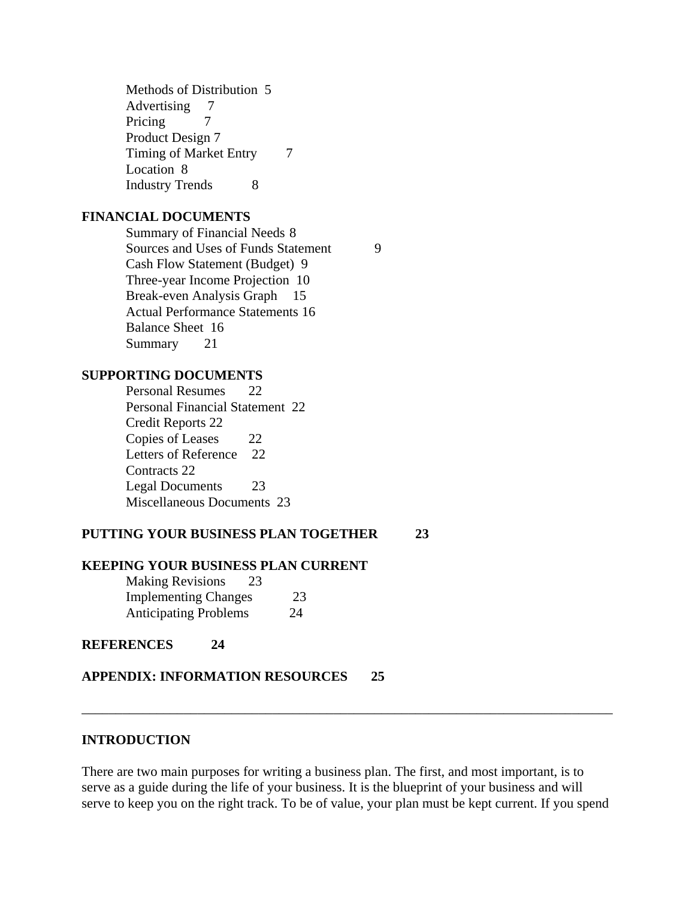Methods of Distribution 5 Advertising 7 Pricing 7 Product Design 7 Timing of Market Entry 7 Location 8 Industry Trends 8

#### **FINANCIAL DOCUMENTS**

 Summary of Financial Needs 8 Sources and Uses of Funds Statement 9 Cash Flow Statement (Budget) 9 Three-year Income Projection 10 Break-even Analysis Graph 15 Actual Performance Statements 16 Balance Sheet 16 Summary 21

#### **SUPPORTING DOCUMENTS**

 Personal Resumes 22 Personal Financial Statement 22 Credit Reports 22 Copies of Leases 22 Letters of Reference 22 Contracts 22 Legal Documents 23 Miscellaneous Documents 23

### **PUTTING YOUR BUSINESS PLAN TOGETHER 23**

#### **KEEPING YOUR BUSINESS PLAN CURRENT**

| <b>Making Revisions</b><br>23 |    |
|-------------------------------|----|
| <b>Implementing Changes</b>   | 23 |
| <b>Anticipating Problems</b>  | 24 |

**REFERENCES 24** 

### **APPENDIX: INFORMATION RESOURCES 25**

#### **INTRODUCTION**

There are two main purposes for writing a business plan. The first, and most important, is to serve as a guide during the life of your business. It is the blueprint of your business and will serve to keep you on the right track. To be of value, your plan must be kept current. If you spend

\_\_\_\_\_\_\_\_\_\_\_\_\_\_\_\_\_\_\_\_\_\_\_\_\_\_\_\_\_\_\_\_\_\_\_\_\_\_\_\_\_\_\_\_\_\_\_\_\_\_\_\_\_\_\_\_\_\_\_\_\_\_\_\_\_\_\_\_\_\_\_\_\_\_\_\_\_\_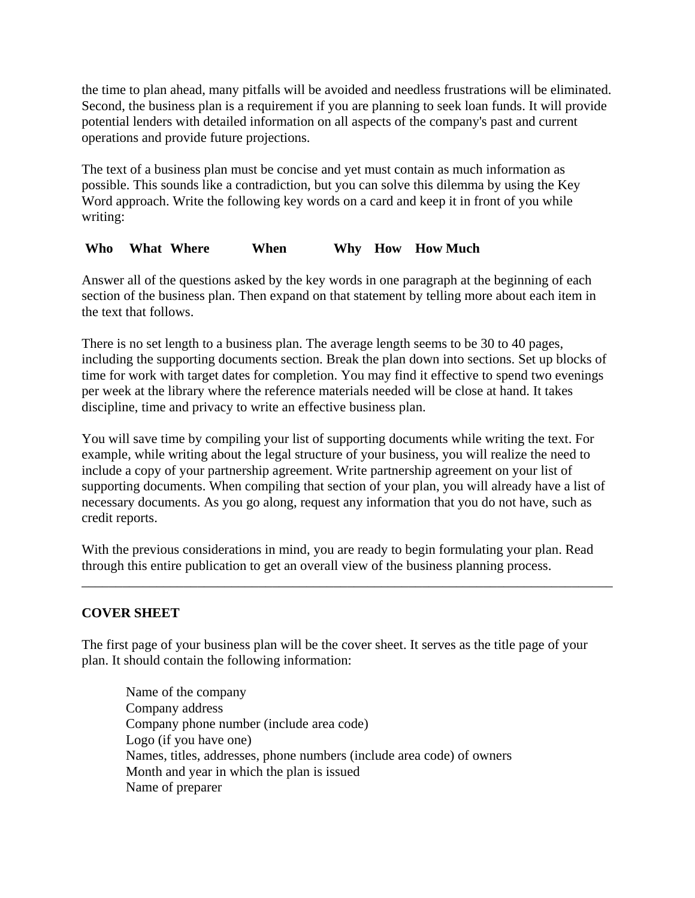the time to plan ahead, many pitfalls will be avoided and needless frustrations will be eliminated. Second, the business plan is a requirement if you are planning to seek loan funds. It will provide potential lenders with detailed information on all aspects of the company's past and current operations and provide future projections.

The text of a business plan must be concise and yet must contain as much information as possible. This sounds like a contradiction, but you can solve this dilemma by using the Key Word approach. Write the following key words on a card and keep it in front of you while writing:

# **Who What Where When Why How How Much**

Answer all of the questions asked by the key words in one paragraph at the beginning of each section of the business plan. Then expand on that statement by telling more about each item in the text that follows.

There is no set length to a business plan. The average length seems to be 30 to 40 pages, including the supporting documents section. Break the plan down into sections. Set up blocks of time for work with target dates for completion. You may find it effective to spend two evenings per week at the library where the reference materials needed will be close at hand. It takes discipline, time and privacy to write an effective business plan.

You will save time by compiling your list of supporting documents while writing the text. For example, while writing about the legal structure of your business, you will realize the need to include a copy of your partnership agreement. Write partnership agreement on your list of supporting documents. When compiling that section of your plan, you will already have a list of necessary documents. As you go along, request any information that you do not have, such as credit reports.

With the previous considerations in mind, you are ready to begin formulating your plan. Read through this entire publication to get an overall view of the business planning process.

\_\_\_\_\_\_\_\_\_\_\_\_\_\_\_\_\_\_\_\_\_\_\_\_\_\_\_\_\_\_\_\_\_\_\_\_\_\_\_\_\_\_\_\_\_\_\_\_\_\_\_\_\_\_\_\_\_\_\_\_\_\_\_\_\_\_\_\_\_\_\_\_\_\_\_\_\_\_

# **COVER SHEET**

The first page of your business plan will be the cover sheet. It serves as the title page of your plan. It should contain the following information:

 Name of the company Company address Company phone number (include area code) Logo (if you have one) Names, titles, addresses, phone numbers (include area code) of owners Month and year in which the plan is issued Name of preparer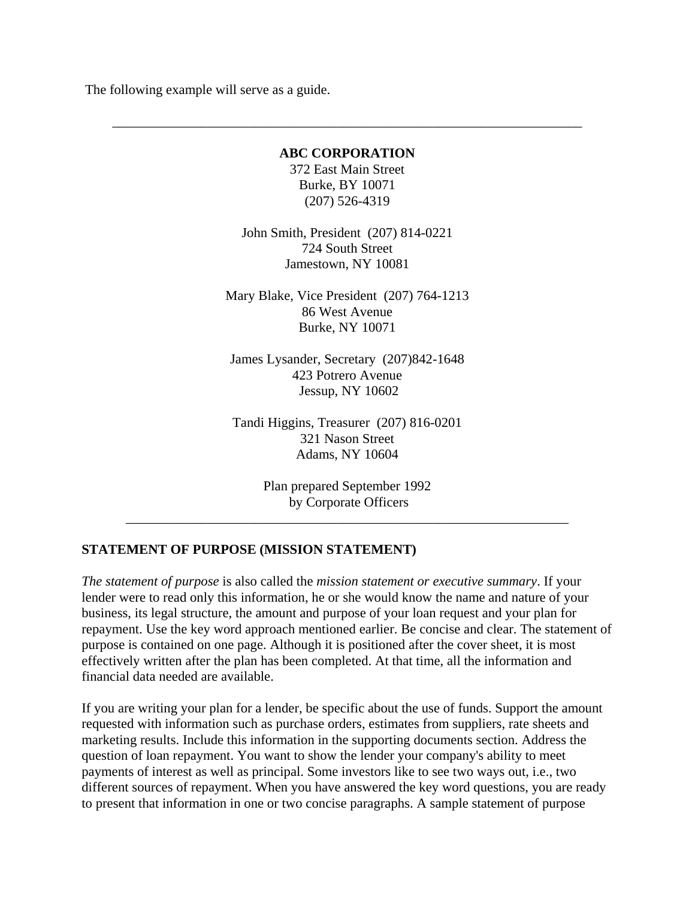The following example will serve as a guide.

#### **ABC CORPORATION**

 $\overline{\phantom{a}}$  ,  $\overline{\phantom{a}}$  ,  $\overline{\phantom{a}}$  ,  $\overline{\phantom{a}}$  ,  $\overline{\phantom{a}}$  ,  $\overline{\phantom{a}}$  ,  $\overline{\phantom{a}}$  ,  $\overline{\phantom{a}}$  ,  $\overline{\phantom{a}}$  ,  $\overline{\phantom{a}}$  ,  $\overline{\phantom{a}}$  ,  $\overline{\phantom{a}}$  ,  $\overline{\phantom{a}}$  ,  $\overline{\phantom{a}}$  ,  $\overline{\phantom{a}}$  ,  $\overline{\phantom{a}}$ 

372 East Main Street Burke, BY 10071 (207) 526-4319

John Smith, President (207) 814-0221 724 South Street Jamestown, NY 10081

Mary Blake, Vice President (207) 764-1213 86 West Avenue Burke, NY 10071

James Lysander, Secretary (207)842-1648 423 Potrero Avenue Jessup, NY 10602

Tandi Higgins, Treasurer (207) 816-0201 321 Nason Street Adams, NY 10604

> Plan prepared September 1992 by Corporate Officers

 $\overline{\phantom{a}}$  ,  $\overline{\phantom{a}}$  ,  $\overline{\phantom{a}}$  ,  $\overline{\phantom{a}}$  ,  $\overline{\phantom{a}}$  ,  $\overline{\phantom{a}}$  ,  $\overline{\phantom{a}}$  ,  $\overline{\phantom{a}}$  ,  $\overline{\phantom{a}}$  ,  $\overline{\phantom{a}}$  ,  $\overline{\phantom{a}}$  ,  $\overline{\phantom{a}}$  ,  $\overline{\phantom{a}}$  ,  $\overline{\phantom{a}}$  ,  $\overline{\phantom{a}}$  ,  $\overline{\phantom{a}}$ 

# **STATEMENT OF PURPOSE (MISSION STATEMENT)**

*The statement of purpose* is also called the *mission statement or executive summary*. If your lender were to read only this information, he or she would know the name and nature of your business, its legal structure, the amount and purpose of your loan request and your plan for repayment. Use the key word approach mentioned earlier. Be concise and clear. The statement of purpose is contained on one page. Although it is positioned after the cover sheet, it is most effectively written after the plan has been completed. At that time, all the information and financial data needed are available.

If you are writing your plan for a lender, be specific about the use of funds. Support the amount requested with information such as purchase orders, estimates from suppliers, rate sheets and marketing results. Include this information in the supporting documents section. Address the question of loan repayment. You want to show the lender your company's ability to meet payments of interest as well as principal. Some investors like to see two ways out, i.e., two different sources of repayment. When you have answered the key word questions, you are ready to present that information in one or two concise paragraphs. A sample statement of purpose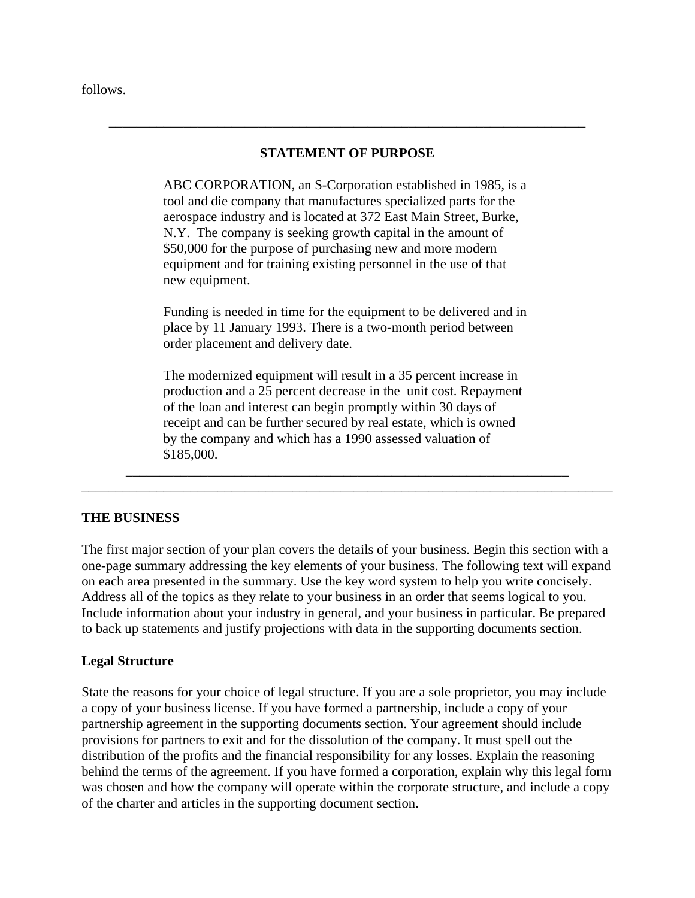follows.

### **STATEMENT OF PURPOSE**

 $\overline{\phantom{a}}$  ,  $\overline{\phantom{a}}$  ,  $\overline{\phantom{a}}$  ,  $\overline{\phantom{a}}$  ,  $\overline{\phantom{a}}$  ,  $\overline{\phantom{a}}$  ,  $\overline{\phantom{a}}$  ,  $\overline{\phantom{a}}$  ,  $\overline{\phantom{a}}$  ,  $\overline{\phantom{a}}$  ,  $\overline{\phantom{a}}$  ,  $\overline{\phantom{a}}$  ,  $\overline{\phantom{a}}$  ,  $\overline{\phantom{a}}$  ,  $\overline{\phantom{a}}$  ,  $\overline{\phantom{a}}$ 

 ABC CORPORATION, an S-Corporation established in 1985, is a tool and die company that manufactures specialized parts for the aerospace industry and is located at 372 East Main Street, Burke, N.Y. The company is seeking growth capital in the amount of \$50,000 for the purpose of purchasing new and more modern equipment and for training existing personnel in the use of that new equipment.

 Funding is needed in time for the equipment to be delivered and in place by 11 January 1993. There is a two-month period between order placement and delivery date.

 The modernized equipment will result in a 35 percent increase in production and a 25 percent decrease in the unit cost. Repayment of the loan and interest can begin promptly within 30 days of receipt and can be further secured by real estate, which is owned by the company and which has a 1990 assessed valuation of \$185,000.

\_\_\_\_\_\_\_\_\_\_\_\_\_\_\_\_\_\_\_\_\_\_\_\_\_\_\_\_\_\_\_\_\_\_\_\_\_\_\_\_\_\_\_\_\_\_\_\_\_\_\_\_\_\_\_\_\_\_\_\_\_\_\_\_\_\_\_\_\_\_\_\_\_\_\_\_\_\_

 $\overline{\phantom{a}}$  ,  $\overline{\phantom{a}}$  ,  $\overline{\phantom{a}}$  ,  $\overline{\phantom{a}}$  ,  $\overline{\phantom{a}}$  ,  $\overline{\phantom{a}}$  ,  $\overline{\phantom{a}}$  ,  $\overline{\phantom{a}}$  ,  $\overline{\phantom{a}}$  ,  $\overline{\phantom{a}}$  ,  $\overline{\phantom{a}}$  ,  $\overline{\phantom{a}}$  ,  $\overline{\phantom{a}}$  ,  $\overline{\phantom{a}}$  ,  $\overline{\phantom{a}}$  ,  $\overline{\phantom{a}}$ 

# **THE BUSINESS**

The first major section of your plan covers the details of your business. Begin this section with a one-page summary addressing the key elements of your business. The following text will expand on each area presented in the summary. Use the key word system to help you write concisely. Address all of the topics as they relate to your business in an order that seems logical to you. Include information about your industry in general, and your business in particular. Be prepared to back up statements and justify projections with data in the supporting documents section.

### **Legal Structure**

State the reasons for your choice of legal structure. If you are a sole proprietor, you may include a copy of your business license. If you have formed a partnership, include a copy of your partnership agreement in the supporting documents section. Your agreement should include provisions for partners to exit and for the dissolution of the company. It must spell out the distribution of the profits and the financial responsibility for any losses. Explain the reasoning behind the terms of the agreement. If you have formed a corporation, explain why this legal form was chosen and how the company will operate within the corporate structure, and include a copy of the charter and articles in the supporting document section.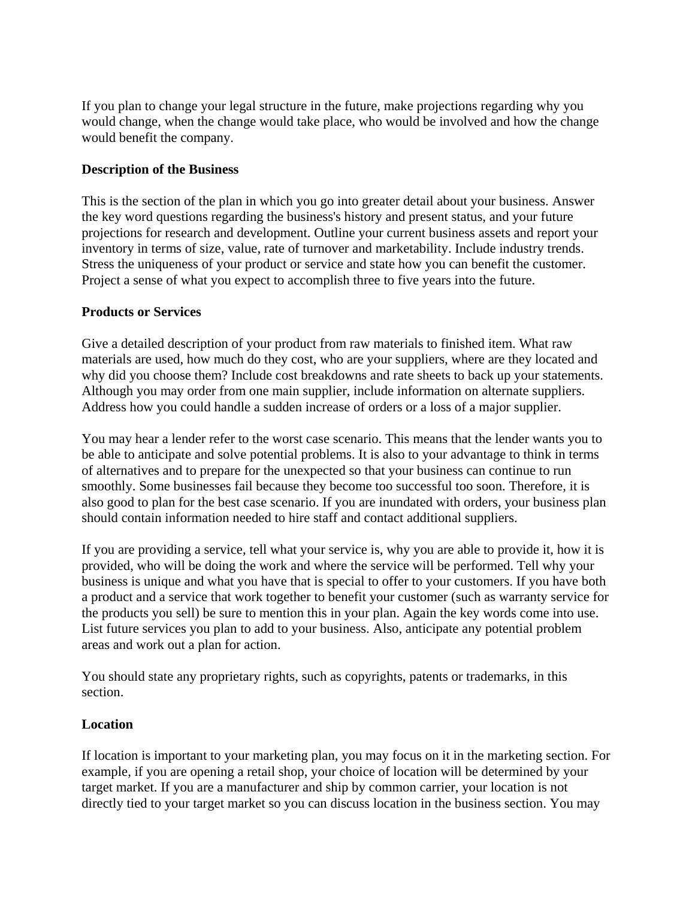If you plan to change your legal structure in the future, make projections regarding why you would change, when the change would take place, who would be involved and how the change would benefit the company.

### **Description of the Business**

This is the section of the plan in which you go into greater detail about your business. Answer the key word questions regarding the business's history and present status, and your future projections for research and development. Outline your current business assets and report your inventory in terms of size, value, rate of turnover and marketability. Include industry trends. Stress the uniqueness of your product or service and state how you can benefit the customer. Project a sense of what you expect to accomplish three to five years into the future.

### **Products or Services**

Give a detailed description of your product from raw materials to finished item. What raw materials are used, how much do they cost, who are your suppliers, where are they located and why did you choose them? Include cost breakdowns and rate sheets to back up your statements. Although you may order from one main supplier, include information on alternate suppliers. Address how you could handle a sudden increase of orders or a loss of a major supplier.

You may hear a lender refer to the worst case scenario. This means that the lender wants you to be able to anticipate and solve potential problems. It is also to your advantage to think in terms of alternatives and to prepare for the unexpected so that your business can continue to run smoothly. Some businesses fail because they become too successful too soon. Therefore, it is also good to plan for the best case scenario. If you are inundated with orders, your business plan should contain information needed to hire staff and contact additional suppliers.

If you are providing a service, tell what your service is, why you are able to provide it, how it is provided, who will be doing the work and where the service will be performed. Tell why your business is unique and what you have that is special to offer to your customers. If you have both a product and a service that work together to benefit your customer (such as warranty service for the products you sell) be sure to mention this in your plan. Again the key words come into use. List future services you plan to add to your business. Also, anticipate any potential problem areas and work out a plan for action.

You should state any proprietary rights, such as copyrights, patents or trademarks, in this section.

### **Location**

If location is important to your marketing plan, you may focus on it in the marketing section. For example, if you are opening a retail shop, your choice of location will be determined by your target market. If you are a manufacturer and ship by common carrier, your location is not directly tied to your target market so you can discuss location in the business section. You may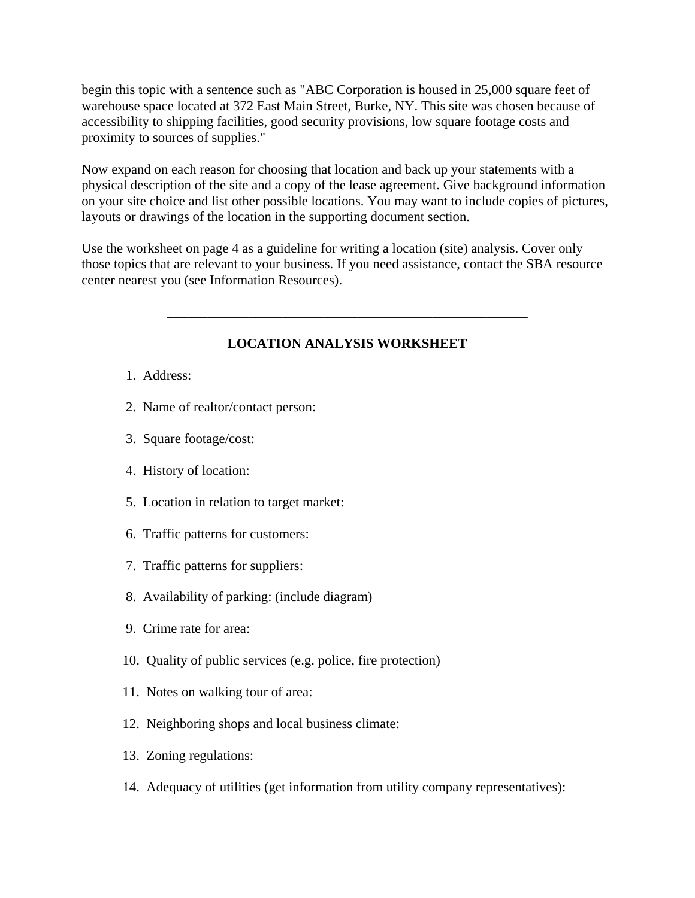begin this topic with a sentence such as "ABC Corporation is housed in 25,000 square feet of warehouse space located at 372 East Main Street, Burke, NY. This site was chosen because of accessibility to shipping facilities, good security provisions, low square footage costs and proximity to sources of supplies."

Now expand on each reason for choosing that location and back up your statements with a physical description of the site and a copy of the lease agreement. Give background information on your site choice and list other possible locations. You may want to include copies of pictures, layouts or drawings of the location in the supporting document section.

Use the worksheet on page 4 as a guideline for writing a location (site) analysis. Cover only those topics that are relevant to your business. If you need assistance, contact the SBA resource center nearest you (see Information Resources).

# **LOCATION ANALYSIS WORKSHEET**

\_\_\_\_\_\_\_\_\_\_\_\_\_\_\_\_\_\_\_\_\_\_\_\_\_\_\_\_\_\_\_\_\_\_\_\_\_\_\_\_\_\_\_\_\_\_\_\_\_\_\_\_\_

- 1. Address:
- 2. Name of realtor/contact person:
- 3. Square footage/cost:
- 4. History of location:
- 5. Location in relation to target market:
- 6. Traffic patterns for customers:
- 7. Traffic patterns for suppliers:
- 8. Availability of parking: (include diagram)
- 9. Crime rate for area:
- 10. Quality of public services (e.g. police, fire protection)
- 11. Notes on walking tour of area:
- 12. Neighboring shops and local business climate:
- 13. Zoning regulations:
- 14. Adequacy of utilities (get information from utility company representatives):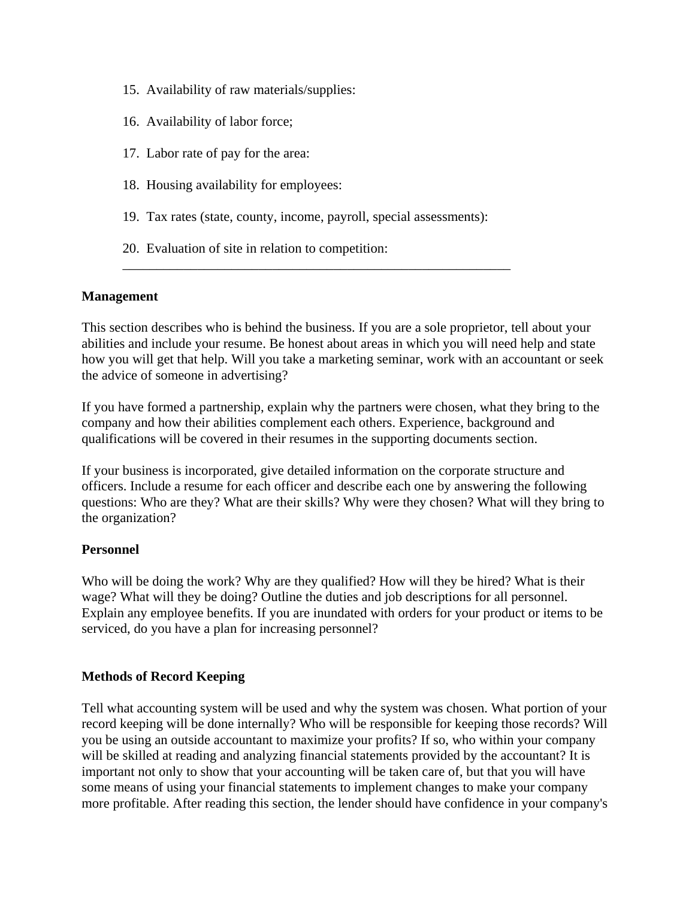- 15. Availability of raw materials/supplies:
- 16. Availability of labor force;
- 17. Labor rate of pay for the area:
- 18. Housing availability for employees:
- 19. Tax rates (state, county, income, payroll, special assessments):

\_\_\_\_\_\_\_\_\_\_\_\_\_\_\_\_\_\_\_\_\_\_\_\_\_\_\_\_\_\_\_\_\_\_\_\_\_\_\_\_\_\_\_\_\_\_\_\_\_\_\_\_\_\_\_\_\_

20. Evaluation of site in relation to competition:

### **Management**

This section describes who is behind the business. If you are a sole proprietor, tell about your abilities and include your resume. Be honest about areas in which you will need help and state how you will get that help. Will you take a marketing seminar, work with an accountant or seek the advice of someone in advertising?

If you have formed a partnership, explain why the partners were chosen, what they bring to the company and how their abilities complement each others. Experience, background and qualifications will be covered in their resumes in the supporting documents section.

If your business is incorporated, give detailed information on the corporate structure and officers. Include a resume for each officer and describe each one by answering the following questions: Who are they? What are their skills? Why were they chosen? What will they bring to the organization?

### **Personnel**

Who will be doing the work? Why are they qualified? How will they be hired? What is their wage? What will they be doing? Outline the duties and job descriptions for all personnel. Explain any employee benefits. If you are inundated with orders for your product or items to be serviced, do you have a plan for increasing personnel?

### **Methods of Record Keeping**

Tell what accounting system will be used and why the system was chosen. What portion of your record keeping will be done internally? Who will be responsible for keeping those records? Will you be using an outside accountant to maximize your profits? If so, who within your company will be skilled at reading and analyzing financial statements provided by the accountant? It is important not only to show that your accounting will be taken care of, but that you will have some means of using your financial statements to implement changes to make your company more profitable. After reading this section, the lender should have confidence in your company's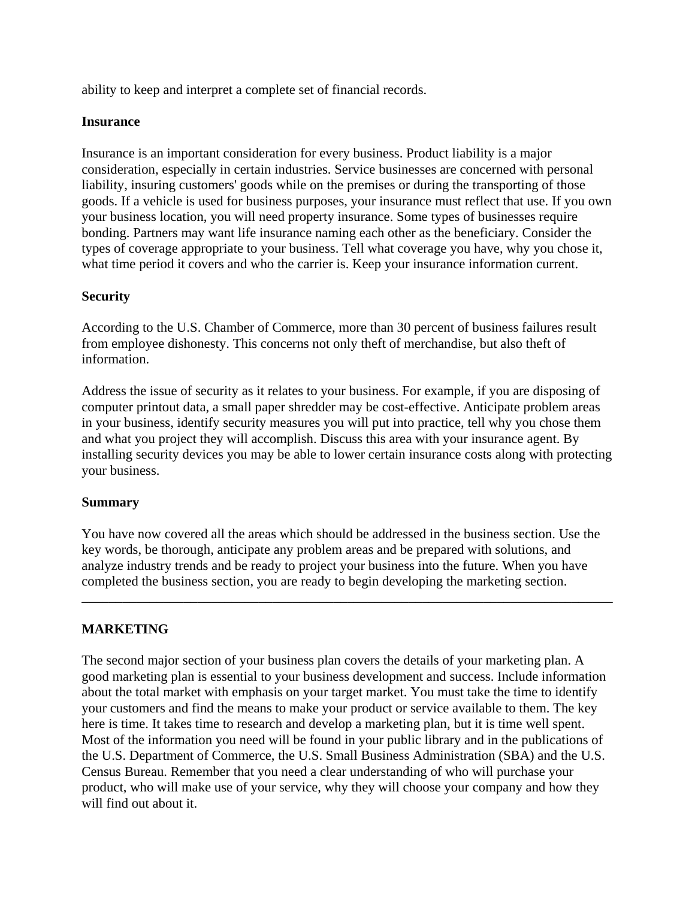ability to keep and interpret a complete set of financial records.

### **Insurance**

Insurance is an important consideration for every business. Product liability is a major consideration, especially in certain industries. Service businesses are concerned with personal liability, insuring customers' goods while on the premises or during the transporting of those goods. If a vehicle is used for business purposes, your insurance must reflect that use. If you own your business location, you will need property insurance. Some types of businesses require bonding. Partners may want life insurance naming each other as the beneficiary. Consider the types of coverage appropriate to your business. Tell what coverage you have, why you chose it, what time period it covers and who the carrier is. Keep your insurance information current.

### **Security**

According to the U.S. Chamber of Commerce, more than 30 percent of business failures result from employee dishonesty. This concerns not only theft of merchandise, but also theft of information.

Address the issue of security as it relates to your business. For example, if you are disposing of computer printout data, a small paper shredder may be cost-effective. Anticipate problem areas in your business, identify security measures you will put into practice, tell why you chose them and what you project they will accomplish. Discuss this area with your insurance agent. By installing security devices you may be able to lower certain insurance costs along with protecting your business.

# **Summary**

You have now covered all the areas which should be addressed in the business section. Use the key words, be thorough, anticipate any problem areas and be prepared with solutions, and analyze industry trends and be ready to project your business into the future. When you have completed the business section, you are ready to begin developing the marketing section.

\_\_\_\_\_\_\_\_\_\_\_\_\_\_\_\_\_\_\_\_\_\_\_\_\_\_\_\_\_\_\_\_\_\_\_\_\_\_\_\_\_\_\_\_\_\_\_\_\_\_\_\_\_\_\_\_\_\_\_\_\_\_\_\_\_\_\_\_\_\_\_\_\_\_\_\_\_\_

# **MARKETING**

The second major section of your business plan covers the details of your marketing plan. A good marketing plan is essential to your business development and success. Include information about the total market with emphasis on your target market. You must take the time to identify your customers and find the means to make your product or service available to them. The key here is time. It takes time to research and develop a marketing plan, but it is time well spent. Most of the information you need will be found in your public library and in the publications of the U.S. Department of Commerce, the U.S. Small Business Administration (SBA) and the U.S. Census Bureau. Remember that you need a clear understanding of who will purchase your product, who will make use of your service, why they will choose your company and how they will find out about it.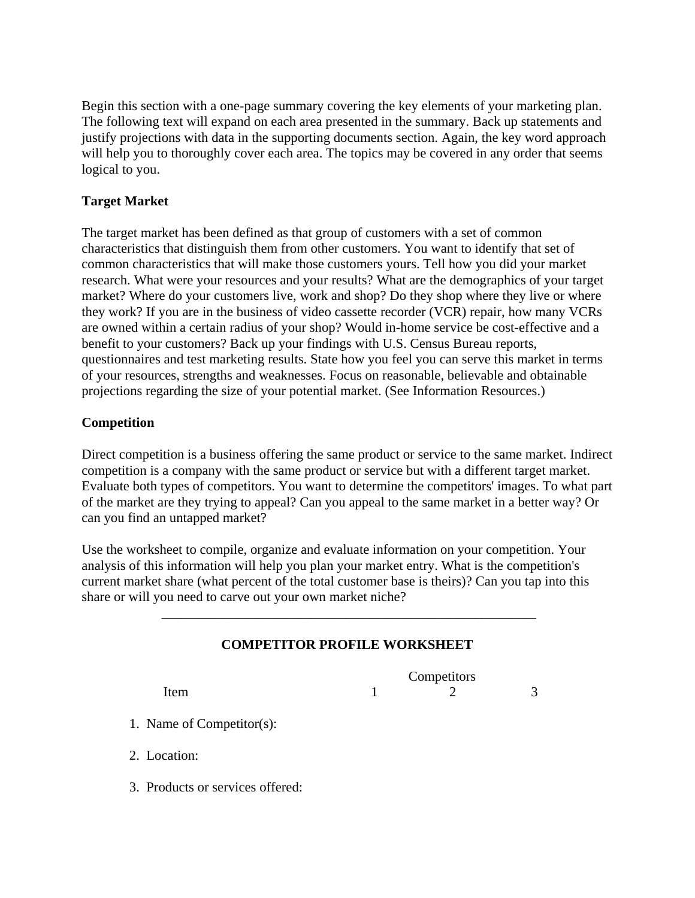Begin this section with a one-page summary covering the key elements of your marketing plan. The following text will expand on each area presented in the summary. Back up statements and justify projections with data in the supporting documents section. Again, the key word approach will help you to thoroughly cover each area. The topics may be covered in any order that seems logical to you.

# **Target Market**

The target market has been defined as that group of customers with a set of common characteristics that distinguish them from other customers. You want to identify that set of common characteristics that will make those customers yours. Tell how you did your market research. What were your resources and your results? What are the demographics of your target market? Where do your customers live, work and shop? Do they shop where they live or where they work? If you are in the business of video cassette recorder (VCR) repair, how many VCRs are owned within a certain radius of your shop? Would in-home service be cost-effective and a benefit to your customers? Back up your findings with U.S. Census Bureau reports, questionnaires and test marketing results. State how you feel you can serve this market in terms of your resources, strengths and weaknesses. Focus on reasonable, believable and obtainable projections regarding the size of your potential market. (See Information Resources.)

# **Competition**

Direct competition is a business offering the same product or service to the same market. Indirect competition is a company with the same product or service but with a different target market. Evaluate both types of competitors. You want to determine the competitors' images. To what part of the market are they trying to appeal? Can you appeal to the same market in a better way? Or can you find an untapped market?

Use the worksheet to compile, organize and evaluate information on your competition. Your analysis of this information will help you plan your market entry. What is the competition's current market share (what percent of the total customer base is theirs)? Can you tap into this share or will you need to carve out your own market niche?

 $\overline{\phantom{a}}$  ,  $\overline{\phantom{a}}$  ,  $\overline{\phantom{a}}$  ,  $\overline{\phantom{a}}$  ,  $\overline{\phantom{a}}$  ,  $\overline{\phantom{a}}$  ,  $\overline{\phantom{a}}$  ,  $\overline{\phantom{a}}$  ,  $\overline{\phantom{a}}$  ,  $\overline{\phantom{a}}$  ,  $\overline{\phantom{a}}$  ,  $\overline{\phantom{a}}$  ,  $\overline{\phantom{a}}$  ,  $\overline{\phantom{a}}$  ,  $\overline{\phantom{a}}$  ,  $\overline{\phantom{a}}$ 

# **COMPETITOR PROFILE WORKSHEET**

**Competitors** Item  $1$  2 3

- 1. Name of Competitor(s):
- 2. Location:
- 3. Products or services offered: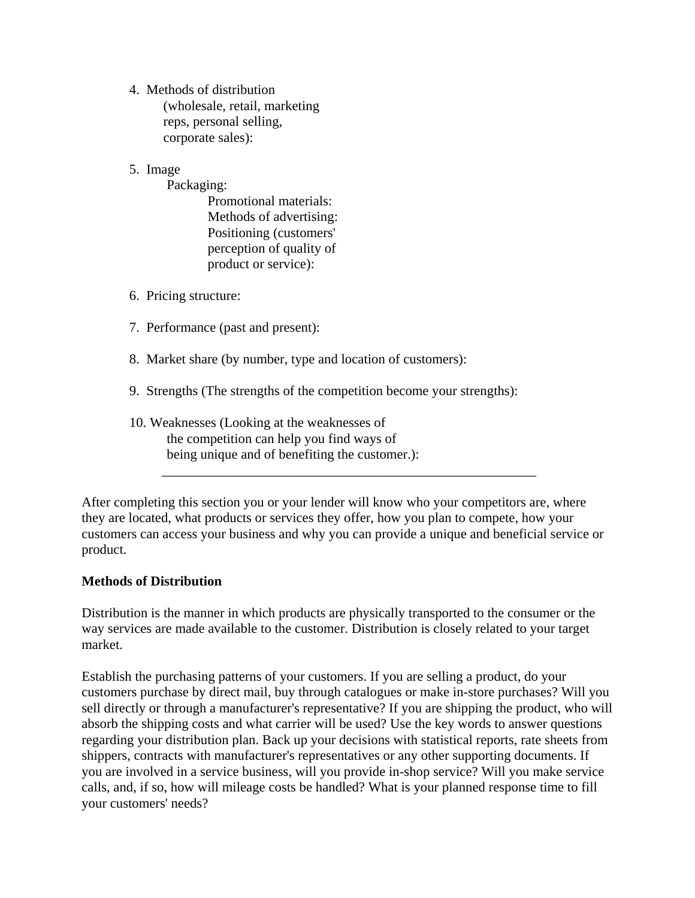4. Methods of distribution (wholesale, retail, marketing reps, personal selling, corporate sales):

# 5. Image

Packaging:

 Promotional materials: Methods of advertising: Positioning (customers' perception of quality of product or service):

- 6. Pricing structure:
- 7. Performance (past and present):
- 8. Market share (by number, type and location of customers):
- 9. Strengths (The strengths of the competition become your strengths):

 $\overline{\phantom{a}}$  ,  $\overline{\phantom{a}}$  ,  $\overline{\phantom{a}}$  ,  $\overline{\phantom{a}}$  ,  $\overline{\phantom{a}}$  ,  $\overline{\phantom{a}}$  ,  $\overline{\phantom{a}}$  ,  $\overline{\phantom{a}}$  ,  $\overline{\phantom{a}}$  ,  $\overline{\phantom{a}}$  ,  $\overline{\phantom{a}}$  ,  $\overline{\phantom{a}}$  ,  $\overline{\phantom{a}}$  ,  $\overline{\phantom{a}}$  ,  $\overline{\phantom{a}}$  ,  $\overline{\phantom{a}}$ 

# 10. Weaknesses (Looking at the weaknesses of the competition can help you find ways of being unique and of benefiting the customer.):

After completing this section you or your lender will know who your competitors are, where they are located, what products or services they offer, how you plan to compete, how your customers can access your business and why you can provide a unique and beneficial service or product.

### **Methods of Distribution**

Distribution is the manner in which products are physically transported to the consumer or the way services are made available to the customer. Distribution is closely related to your target market.

Establish the purchasing patterns of your customers. If you are selling a product, do your customers purchase by direct mail, buy through catalogues or make in-store purchases? Will you sell directly or through a manufacturer's representative? If you are shipping the product, who will absorb the shipping costs and what carrier will be used? Use the key words to answer questions regarding your distribution plan. Back up your decisions with statistical reports, rate sheets from shippers, contracts with manufacturer's representatives or any other supporting documents. If you are involved in a service business, will you provide in-shop service? Will you make service calls, and, if so, how will mileage costs be handled? What is your planned response time to fill your customers' needs?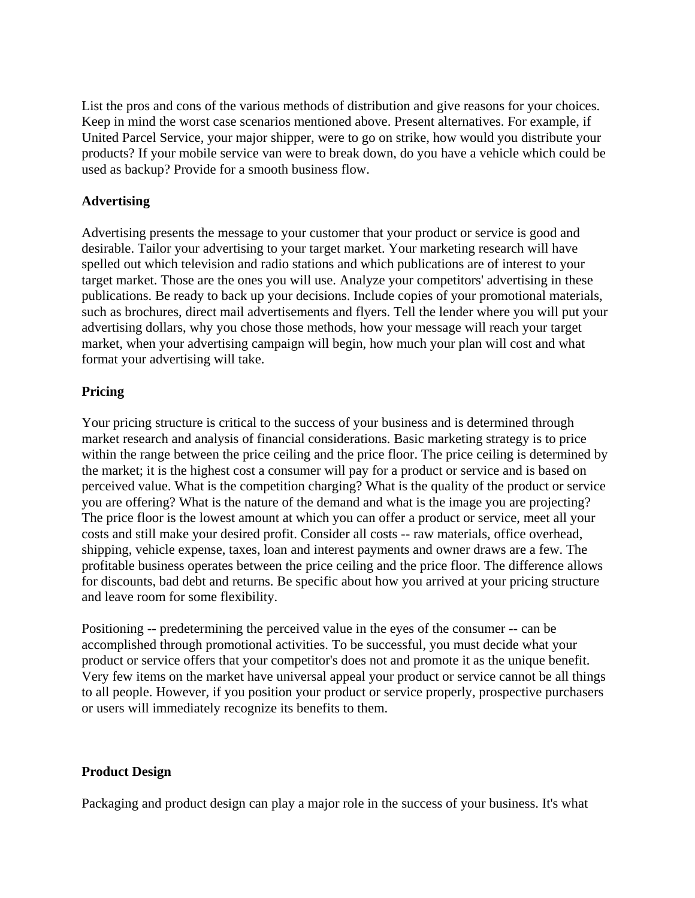List the pros and cons of the various methods of distribution and give reasons for your choices. Keep in mind the worst case scenarios mentioned above. Present alternatives. For example, if United Parcel Service, your major shipper, were to go on strike, how would you distribute your products? If your mobile service van were to break down, do you have a vehicle which could be used as backup? Provide for a smooth business flow.

### **Advertising**

Advertising presents the message to your customer that your product or service is good and desirable. Tailor your advertising to your target market. Your marketing research will have spelled out which television and radio stations and which publications are of interest to your target market. Those are the ones you will use. Analyze your competitors' advertising in these publications. Be ready to back up your decisions. Include copies of your promotional materials, such as brochures, direct mail advertisements and flyers. Tell the lender where you will put your advertising dollars, why you chose those methods, how your message will reach your target market, when your advertising campaign will begin, how much your plan will cost and what format your advertising will take.

### **Pricing**

Your pricing structure is critical to the success of your business and is determined through market research and analysis of financial considerations. Basic marketing strategy is to price within the range between the price ceiling and the price floor. The price ceiling is determined by the market; it is the highest cost a consumer will pay for a product or service and is based on perceived value. What is the competition charging? What is the quality of the product or service you are offering? What is the nature of the demand and what is the image you are projecting? The price floor is the lowest amount at which you can offer a product or service, meet all your costs and still make your desired profit. Consider all costs -- raw materials, office overhead, shipping, vehicle expense, taxes, loan and interest payments and owner draws are a few. The profitable business operates between the price ceiling and the price floor. The difference allows for discounts, bad debt and returns. Be specific about how you arrived at your pricing structure and leave room for some flexibility.

Positioning -- predetermining the perceived value in the eyes of the consumer -- can be accomplished through promotional activities. To be successful, you must decide what your product or service offers that your competitor's does not and promote it as the unique benefit. Very few items on the market have universal appeal your product or service cannot be all things to all people. However, if you position your product or service properly, prospective purchasers or users will immediately recognize its benefits to them.

### **Product Design**

Packaging and product design can play a major role in the success of your business. It's what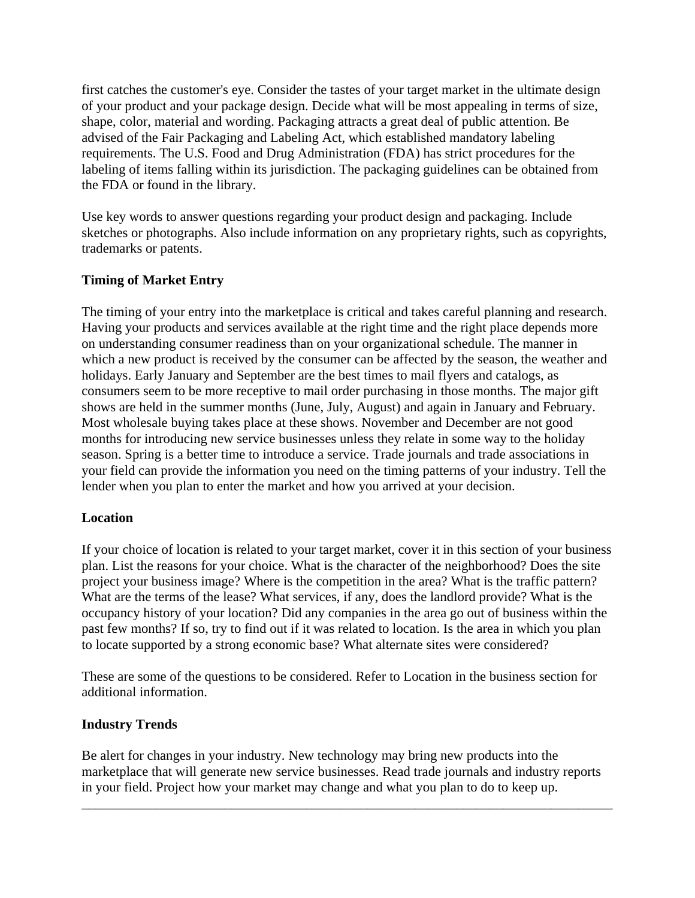first catches the customer's eye. Consider the tastes of your target market in the ultimate design of your product and your package design. Decide what will be most appealing in terms of size, shape, color, material and wording. Packaging attracts a great deal of public attention. Be advised of the Fair Packaging and Labeling Act, which established mandatory labeling requirements. The U.S. Food and Drug Administration (FDA) has strict procedures for the labeling of items falling within its jurisdiction. The packaging guidelines can be obtained from the FDA or found in the library.

Use key words to answer questions regarding your product design and packaging. Include sketches or photographs. Also include information on any proprietary rights, such as copyrights, trademarks or patents.

# **Timing of Market Entry**

The timing of your entry into the marketplace is critical and takes careful planning and research. Having your products and services available at the right time and the right place depends more on understanding consumer readiness than on your organizational schedule. The manner in which a new product is received by the consumer can be affected by the season, the weather and holidays. Early January and September are the best times to mail flyers and catalogs, as consumers seem to be more receptive to mail order purchasing in those months. The major gift shows are held in the summer months (June, July, August) and again in January and February. Most wholesale buying takes place at these shows. November and December are not good months for introducing new service businesses unless they relate in some way to the holiday season. Spring is a better time to introduce a service. Trade journals and trade associations in your field can provide the information you need on the timing patterns of your industry. Tell the lender when you plan to enter the market and how you arrived at your decision.

# **Location**

If your choice of location is related to your target market, cover it in this section of your business plan. List the reasons for your choice. What is the character of the neighborhood? Does the site project your business image? Where is the competition in the area? What is the traffic pattern? What are the terms of the lease? What services, if any, does the landlord provide? What is the occupancy history of your location? Did any companies in the area go out of business within the past few months? If so, try to find out if it was related to location. Is the area in which you plan to locate supported by a strong economic base? What alternate sites were considered?

These are some of the questions to be considered. Refer to Location in the business section for additional information.

# **Industry Trends**

Be alert for changes in your industry. New technology may bring new products into the marketplace that will generate new service businesses. Read trade journals and industry reports in your field. Project how your market may change and what you plan to do to keep up.

\_\_\_\_\_\_\_\_\_\_\_\_\_\_\_\_\_\_\_\_\_\_\_\_\_\_\_\_\_\_\_\_\_\_\_\_\_\_\_\_\_\_\_\_\_\_\_\_\_\_\_\_\_\_\_\_\_\_\_\_\_\_\_\_\_\_\_\_\_\_\_\_\_\_\_\_\_\_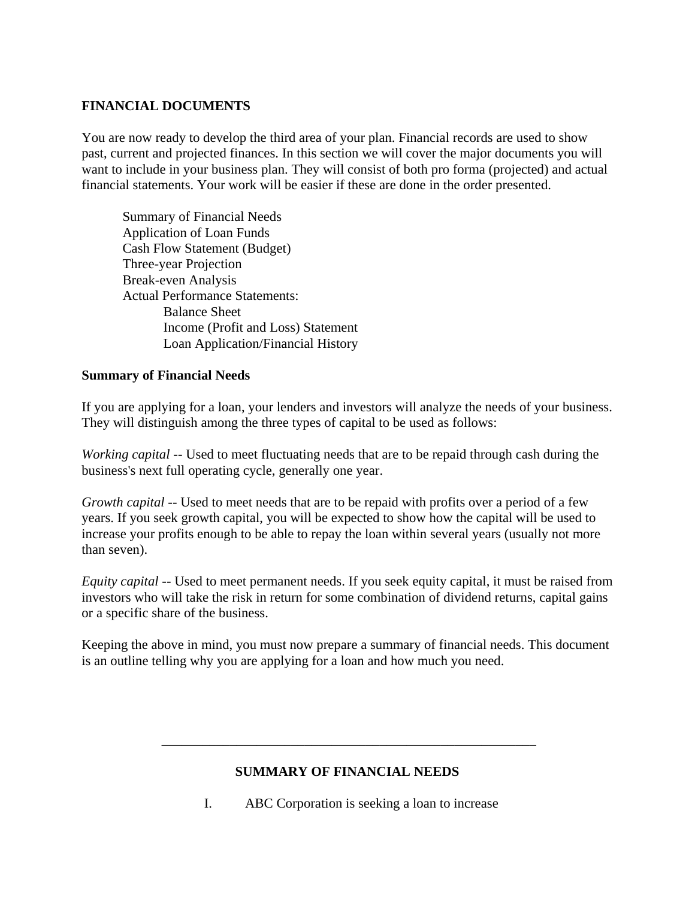## **FINANCIAL DOCUMENTS**

You are now ready to develop the third area of your plan. Financial records are used to show past, current and projected finances. In this section we will cover the major documents you will want to include in your business plan. They will consist of both pro forma (projected) and actual financial statements. Your work will be easier if these are done in the order presented.

 Summary of Financial Needs Application of Loan Funds Cash Flow Statement (Budget) Three-year Projection Break-even Analysis Actual Performance Statements: Balance Sheet Income (Profit and Loss) Statement Loan Application/Financial History

### **Summary of Financial Needs**

If you are applying for a loan, your lenders and investors will analyze the needs of your business. They will distinguish among the three types of capital to be used as follows:

*Working capital* -- Used to meet fluctuating needs that are to be repaid through cash during the business's next full operating cycle, generally one year.

*Growth capital* -- Used to meet needs that are to be repaid with profits over a period of a few years. If you seek growth capital, you will be expected to show how the capital will be used to increase your profits enough to be able to repay the loan within several years (usually not more than seven).

*Equity capital* -- Used to meet permanent needs. If you seek equity capital, it must be raised from investors who will take the risk in return for some combination of dividend returns, capital gains or a specific share of the business.

Keeping the above in mind, you must now prepare a summary of financial needs. This document is an outline telling why you are applying for a loan and how much you need.

# **SUMMARY OF FINANCIAL NEEDS**

 $\overline{\phantom{a}}$  ,  $\overline{\phantom{a}}$  ,  $\overline{\phantom{a}}$  ,  $\overline{\phantom{a}}$  ,  $\overline{\phantom{a}}$  ,  $\overline{\phantom{a}}$  ,  $\overline{\phantom{a}}$  ,  $\overline{\phantom{a}}$  ,  $\overline{\phantom{a}}$  ,  $\overline{\phantom{a}}$  ,  $\overline{\phantom{a}}$  ,  $\overline{\phantom{a}}$  ,  $\overline{\phantom{a}}$  ,  $\overline{\phantom{a}}$  ,  $\overline{\phantom{a}}$  ,  $\overline{\phantom{a}}$ 

I. ABC Corporation is seeking a loan to increase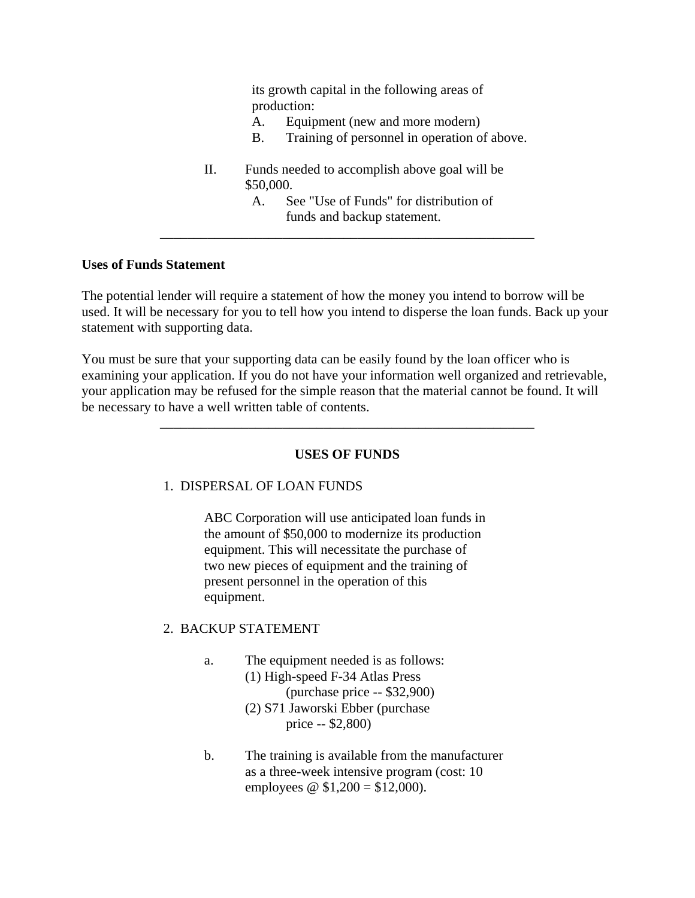its growth capital in the following areas of production:

- A. Equipment (new and more modern)
- B. Training of personnel in operation of above.
- II. Funds needed to accomplish above goal will be \$50,000.

 A. See "Use of Funds" for distribution of funds and backup statement.

#### **Uses of Funds Statement**

The potential lender will require a statement of how the money you intend to borrow will be used. It will be necessary for you to tell how you intend to disperse the loan funds. Back up your statement with supporting data.

 $\overline{\phantom{a}}$  ,  $\overline{\phantom{a}}$  ,  $\overline{\phantom{a}}$  ,  $\overline{\phantom{a}}$  ,  $\overline{\phantom{a}}$  ,  $\overline{\phantom{a}}$  ,  $\overline{\phantom{a}}$  ,  $\overline{\phantom{a}}$  ,  $\overline{\phantom{a}}$  ,  $\overline{\phantom{a}}$  ,  $\overline{\phantom{a}}$  ,  $\overline{\phantom{a}}$  ,  $\overline{\phantom{a}}$  ,  $\overline{\phantom{a}}$  ,  $\overline{\phantom{a}}$  ,  $\overline{\phantom{a}}$ 

 $\overline{\phantom{a}}$  ,  $\overline{\phantom{a}}$  ,  $\overline{\phantom{a}}$  ,  $\overline{\phantom{a}}$  ,  $\overline{\phantom{a}}$  ,  $\overline{\phantom{a}}$  ,  $\overline{\phantom{a}}$  ,  $\overline{\phantom{a}}$  ,  $\overline{\phantom{a}}$  ,  $\overline{\phantom{a}}$  ,  $\overline{\phantom{a}}$  ,  $\overline{\phantom{a}}$  ,  $\overline{\phantom{a}}$  ,  $\overline{\phantom{a}}$  ,  $\overline{\phantom{a}}$  ,  $\overline{\phantom{a}}$ 

You must be sure that your supporting data can be easily found by the loan officer who is examining your application. If you do not have your information well organized and retrievable, your application may be refused for the simple reason that the material cannot be found. It will be necessary to have a well written table of contents.

### **USES OF FUNDS**

### 1. DISPERSAL OF LOAN FUNDS

 ABC Corporation will use anticipated loan funds in the amount of \$50,000 to modernize its production equipment. This will necessitate the purchase of two new pieces of equipment and the training of present personnel in the operation of this equipment.

### 2. BACKUP STATEMENT

- a. The equipment needed is as follows: (1) High-speed F-34 Atlas Press (purchase price -- \$32,900) (2) S71 Jaworski Ebber (purchase price -- \$2,800)
- b. The training is available from the manufacturer as a three-week intensive program (cost: 10 employees  $\omega$  \$1,200 = \$12,000).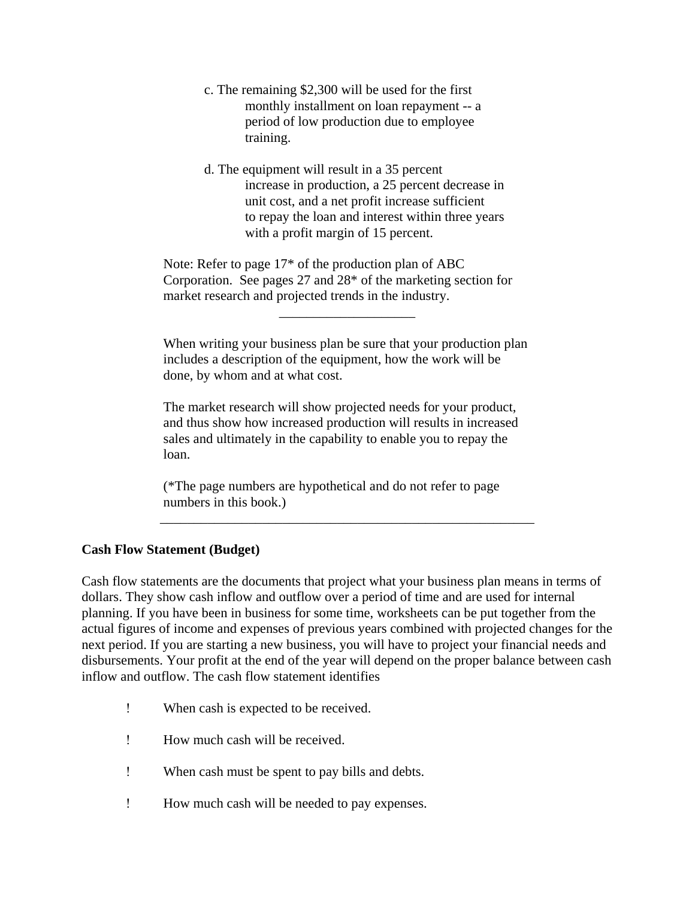- c. The remaining \$2,300 will be used for the first monthly installment on loan repayment -- a period of low production due to employee training.
- d. The equipment will result in a 35 percent increase in production, a 25 percent decrease in unit cost, and a net profit increase sufficient to repay the loan and interest within three years with a profit margin of 15 percent.

 Note: Refer to page 17\* of the production plan of ABC Corporation. See pages 27 and 28\* of the marketing section for market research and projected trends in the industry.

When writing your business plan be sure that your production plan includes a description of the equipment, how the work will be done, by whom and at what cost.

 The market research will show projected needs for your product, and thus show how increased production will results in increased sales and ultimately in the capability to enable you to repay the loan.

 (\*The page numbers are hypothetical and do not refer to page numbers in this book.)

 $\overline{\phantom{a}}$  ,  $\overline{\phantom{a}}$  ,  $\overline{\phantom{a}}$  ,  $\overline{\phantom{a}}$  ,  $\overline{\phantom{a}}$  ,  $\overline{\phantom{a}}$  ,  $\overline{\phantom{a}}$  ,  $\overline{\phantom{a}}$  ,  $\overline{\phantom{a}}$  ,  $\overline{\phantom{a}}$  ,  $\overline{\phantom{a}}$  ,  $\overline{\phantom{a}}$  ,  $\overline{\phantom{a}}$  ,  $\overline{\phantom{a}}$  ,  $\overline{\phantom{a}}$  ,  $\overline{\phantom{a}}$ 

### **Cash Flow Statement (Budget)**

Cash flow statements are the documents that project what your business plan means in terms of dollars. They show cash inflow and outflow over a period of time and are used for internal planning. If you have been in business for some time, worksheets can be put together from the actual figures of income and expenses of previous years combined with projected changes for the next period. If you are starting a new business, you will have to project your financial needs and disbursements. Your profit at the end of the year will depend on the proper balance between cash inflow and outflow. The cash flow statement identifies

! When cash is expected to be received.

 $\mathcal{L}_\text{max}$  , and the contract of the contract of the contract of the contract of the contract of the contract of

- ! How much cash will be received.
- ! When cash must be spent to pay bills and debts.
- ! How much cash will be needed to pay expenses.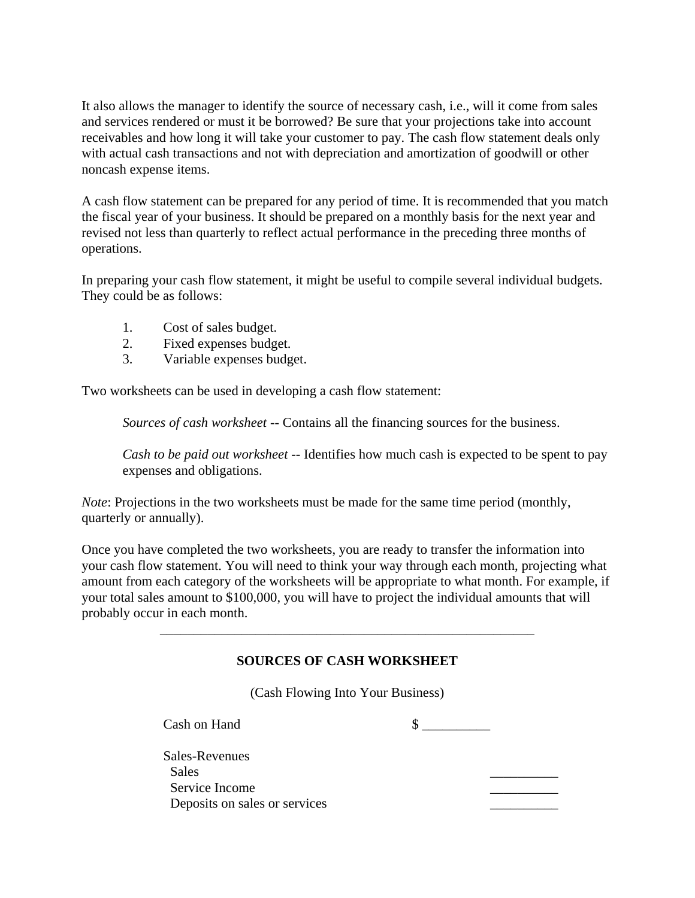It also allows the manager to identify the source of necessary cash, i.e., will it come from sales and services rendered or must it be borrowed? Be sure that your projections take into account receivables and how long it will take your customer to pay. The cash flow statement deals only with actual cash transactions and not with depreciation and amortization of goodwill or other noncash expense items.

A cash flow statement can be prepared for any period of time. It is recommended that you match the fiscal year of your business. It should be prepared on a monthly basis for the next year and revised not less than quarterly to reflect actual performance in the preceding three months of operations.

In preparing your cash flow statement, it might be useful to compile several individual budgets. They could be as follows:

- 1. Cost of sales budget.
- 2. Fixed expenses budget.
- 3. Variable expenses budget.

Two worksheets can be used in developing a cash flow statement:

 *Sources of cash worksheet* -- Contains all the financing sources for the business.

 *Cash to be paid out worksheet* -- Identifies how much cash is expected to be spent to pay expenses and obligations.

*Note*: Projections in the two worksheets must be made for the same time period (monthly, quarterly or annually).

 $\overline{\phantom{a}}$  ,  $\overline{\phantom{a}}$  ,  $\overline{\phantom{a}}$  ,  $\overline{\phantom{a}}$  ,  $\overline{\phantom{a}}$  ,  $\overline{\phantom{a}}$  ,  $\overline{\phantom{a}}$  ,  $\overline{\phantom{a}}$  ,  $\overline{\phantom{a}}$  ,  $\overline{\phantom{a}}$  ,  $\overline{\phantom{a}}$  ,  $\overline{\phantom{a}}$  ,  $\overline{\phantom{a}}$  ,  $\overline{\phantom{a}}$  ,  $\overline{\phantom{a}}$  ,  $\overline{\phantom{a}}$ 

Once you have completed the two worksheets, you are ready to transfer the information into your cash flow statement. You will need to think your way through each month, projecting what amount from each category of the worksheets will be appropriate to what month. For example, if your total sales amount to \$100,000, you will have to project the individual amounts that will probably occur in each month.

### **SOURCES OF CASH WORKSHEET**

(Cash Flowing Into Your Business)

 $\cosh$  on Hand  $\cosh$ 

| Sales-Revenues                |  |
|-------------------------------|--|
| <b>Sales</b>                  |  |
| Service Income                |  |
| Deposits on sales or services |  |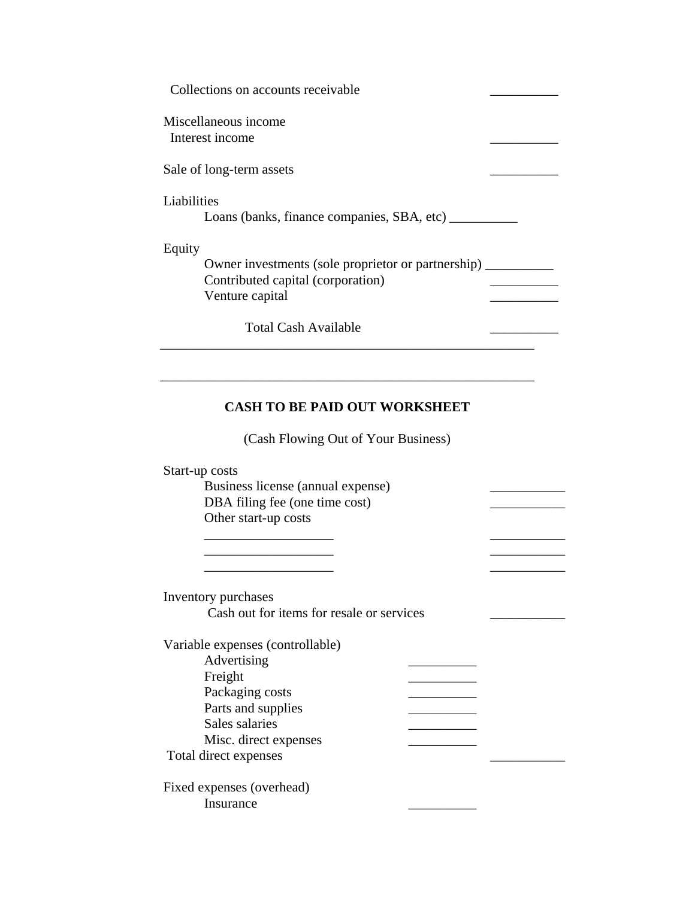| Collections on accounts receivable                         |  |
|------------------------------------------------------------|--|
| Miscellaneous income                                       |  |
| Interest income                                            |  |
| Sale of long-term assets                                   |  |
| Liabilities                                                |  |
| Loans (banks, finance companies, SBA, etc) _______         |  |
| Equity                                                     |  |
| Owner investments (sole proprietor or partnership) _______ |  |
| Contributed capital (corporation)                          |  |
| Venture capital                                            |  |
| <b>Total Cash Available</b>                                |  |

# **CASH TO BE PAID OUT WORKSHEET**

(Cash Flowing Out of Your Business)

\_\_\_\_\_\_\_\_\_\_\_\_\_\_\_\_\_\_\_ \_\_\_\_\_\_\_\_\_\_\_

\_\_\_\_\_\_\_\_\_\_\_\_\_\_\_\_\_\_\_ \_\_\_\_\_\_\_\_\_\_\_

Start-up costs

 Business license (annual expense) \_\_\_\_\_\_\_\_\_\_\_ DBA filing fee (one time cost) Other start-up costs

\_\_\_\_\_\_\_\_\_\_\_\_\_\_\_\_\_\_\_ \_\_\_\_\_\_\_\_\_\_\_

 Inventory purchases Cash out for items for resale or services Variable expenses (controllable)

| Advertising               |  |
|---------------------------|--|
| Freight                   |  |
| Packaging costs           |  |
| Parts and supplies        |  |
| Sales salaries            |  |
| Misc. direct expenses     |  |
| Total direct expenses     |  |
| Fixed expenses (overhead) |  |
| Insurance                 |  |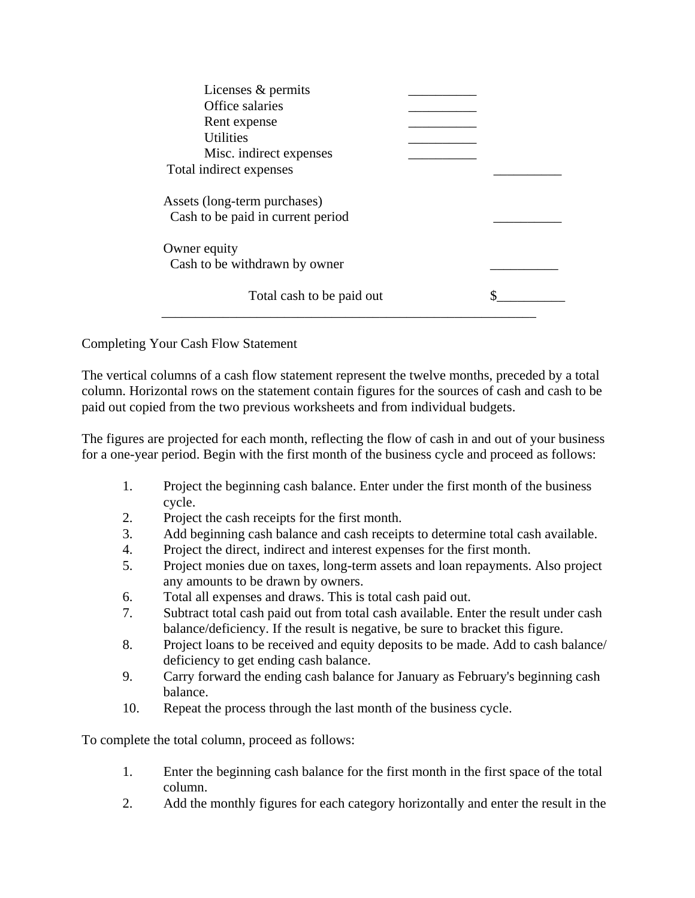| Licenses & permits<br>Office salaries<br>Rent expense<br><b>Utilities</b><br>Misc. indirect expenses |  |
|------------------------------------------------------------------------------------------------------|--|
| Total indirect expenses                                                                              |  |
| Assets (long-term purchases)<br>Cash to be paid in current period                                    |  |
| Owner equity<br>Cash to be withdrawn by owner                                                        |  |
| Total cash to be paid out                                                                            |  |

Completing Your Cash Flow Statement

The vertical columns of a cash flow statement represent the twelve months, preceded by a total column. Horizontal rows on the statement contain figures for the sources of cash and cash to be paid out copied from the two previous worksheets and from individual budgets.

The figures are projected for each month, reflecting the flow of cash in and out of your business for a one-year period. Begin with the first month of the business cycle and proceed as follows:

- 1. Project the beginning cash balance. Enter under the first month of the business cycle.
- 2. Project the cash receipts for the first month.
- 3. Add beginning cash balance and cash receipts to determine total cash available.
- 4. Project the direct, indirect and interest expenses for the first month.
- 5. Project monies due on taxes, long-term assets and loan repayments. Also project any amounts to be drawn by owners.
- 6. Total all expenses and draws. This is total cash paid out.
- 7. Subtract total cash paid out from total cash available. Enter the result under cash balance/deficiency. If the result is negative, be sure to bracket this figure.
- 8. Project loans to be received and equity deposits to be made. Add to cash balance/ deficiency to get ending cash balance.
- 9. Carry forward the ending cash balance for January as February's beginning cash balance.
- 10. Repeat the process through the last month of the business cycle.

To complete the total column, proceed as follows:

- 1. Enter the beginning cash balance for the first month in the first space of the total column.
- 2. Add the monthly figures for each category horizontally and enter the result in the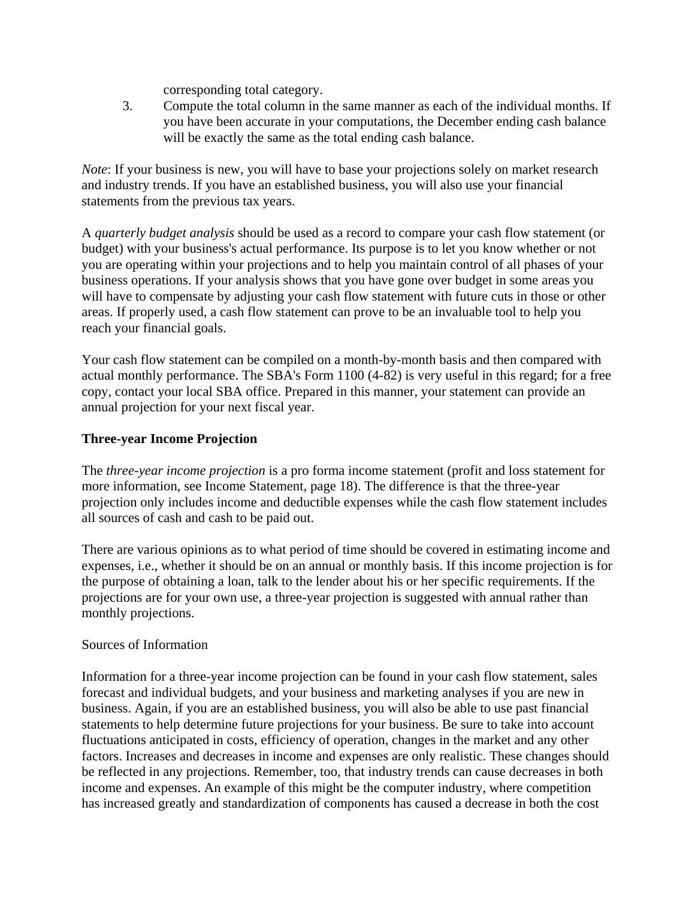corresponding total category.

 3. Compute the total column in the same manner as each of the individual months. If you have been accurate in your computations, the December ending cash balance will be exactly the same as the total ending cash balance.

*Note*: If your business is new, you will have to base your projections solely on market research and industry trends. If you have an established business, you will also use your financial statements from the previous tax years.

A *quarterly budget analysis* should be used as a record to compare your cash flow statement (or budget) with your business's actual performance. Its purpose is to let you know whether or not you are operating within your projections and to help you maintain control of all phases of your business operations. If your analysis shows that you have gone over budget in some areas you will have to compensate by adjusting your cash flow statement with future cuts in those or other areas. If properly used, a cash flow statement can prove to be an invaluable tool to help you reach your financial goals.

Your cash flow statement can be compiled on a month-by-month basis and then compared with actual monthly performance. The SBA's Form 1100 (4-82) is very useful in this regard; for a free copy, contact your local SBA office. Prepared in this manner, your statement can provide an annual projection for your next fiscal year.

# **Three-year Income Projection**

The *three-year income projection* is a pro forma income statement (profit and loss statement for more information, see Income Statement, page 18). The difference is that the three-year projection only includes income and deductible expenses while the cash flow statement includes all sources of cash and cash to be paid out.

There are various opinions as to what period of time should be covered in estimating income and expenses, i.e., whether it should be on an annual or monthly basis. If this income projection is for the purpose of obtaining a loan, talk to the lender about his or her specific requirements. If the projections are for your own use, a three-year projection is suggested with annual rather than monthly projections.

### Sources of Information

Information for a three-year income projection can be found in your cash flow statement, sales forecast and individual budgets, and your business and marketing analyses if you are new in business. Again, if you are an established business, you will also be able to use past financial statements to help determine future projections for your business. Be sure to take into account fluctuations anticipated in costs, efficiency of operation, changes in the market and any other factors. Increases and decreases in income and expenses are only realistic. These changes should be reflected in any projections. Remember, too, that industry trends can cause decreases in both income and expenses. An example of this might be the computer industry, where competition has increased greatly and standardization of components has caused a decrease in both the cost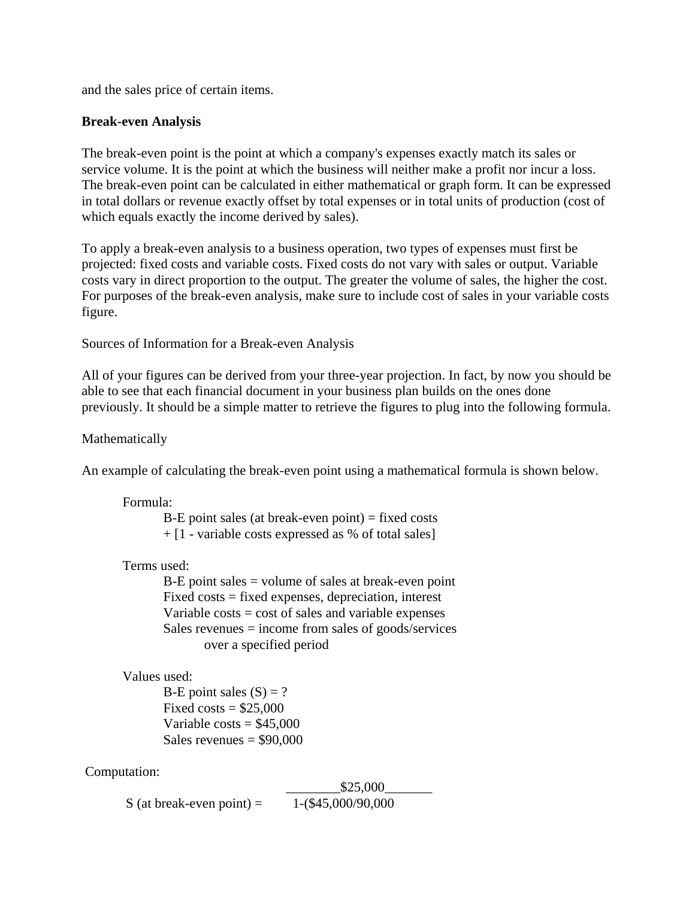and the sales price of certain items.

### **Break-even Analysis**

The break-even point is the point at which a company's expenses exactly match its sales or service volume. It is the point at which the business will neither make a profit nor incur a loss. The break-even point can be calculated in either mathematical or graph form. It can be expressed in total dollars or revenue exactly offset by total expenses or in total units of production (cost of which equals exactly the income derived by sales).

To apply a break-even analysis to a business operation, two types of expenses must first be projected: fixed costs and variable costs. Fixed costs do not vary with sales or output. Variable costs vary in direct proportion to the output. The greater the volume of sales, the higher the cost. For purposes of the break-even analysis, make sure to include cost of sales in your variable costs figure.

Sources of Information for a Break-even Analysis

All of your figures can be derived from your three-year projection. In fact, by now you should be able to see that each financial document in your business plan builds on the ones done previously. It should be a simple matter to retrieve the figures to plug into the following formula.

Mathematically

An example of calculating the break-even point using a mathematical formula is shown below.

Formula:

 $B-E$  point sales (at break-even point) = fixed costs  $+$  [1 - variable costs expressed as % of total sales]

### Terms used:

 B-E point sales = volume of sales at break-even point Fixed costs = fixed expenses, depreciation, interest Variable  $costs = cost$  of sales and variable expenses Sales revenues = income from sales of goods/services over a specified period

```
 Values used:
```
B-E point sales  $(S) = ?$ Fixed costs  $= $25,000$ Variable costs  $= $45,000$ Sales revenues  $= $90,000$ 

Computation:

 \_\_\_\_\_\_\_\_\$25,000\_\_\_\_\_\_\_ S (at break-even point) =  $1-(\$45,000/90,000)$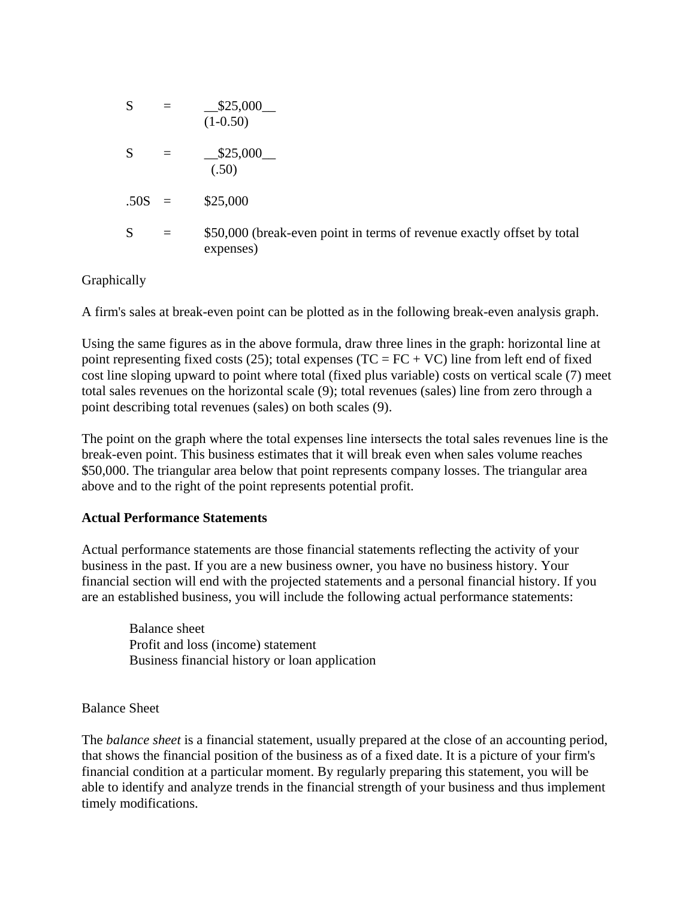$$
S = \frac{$25,000}{(1-0.50)}
$$
  
\n
$$
S = \frac{$25,000}{(.50)}
$$
  
\n
$$
.50S = $25,000
$$
  
\n
$$
S = $50,000 \text{ (break-even point in terms of revenue exactly offset by total expenses)}
$$

Graphically

A firm's sales at break-even point can be plotted as in the following break-even analysis graph.

Using the same figures as in the above formula, draw three lines in the graph: horizontal line at point representing fixed costs (25); total expenses (TC =  $FC + VC$ ) line from left end of fixed cost line sloping upward to point where total (fixed plus variable) costs on vertical scale (7) meet total sales revenues on the horizontal scale (9); total revenues (sales) line from zero through a point describing total revenues (sales) on both scales (9).

The point on the graph where the total expenses line intersects the total sales revenues line is the break-even point. This business estimates that it will break even when sales volume reaches \$50,000. The triangular area below that point represents company losses. The triangular area above and to the right of the point represents potential profit.

# **Actual Performance Statements**

Actual performance statements are those financial statements reflecting the activity of your business in the past. If you are a new business owner, you have no business history. Your financial section will end with the projected statements and a personal financial history. If you are an established business, you will include the following actual performance statements:

 Balance sheet Profit and loss (income) statement Business financial history or loan application

# Balance Sheet

The *balance sheet* is a financial statement, usually prepared at the close of an accounting period, that shows the financial position of the business as of a fixed date. It is a picture of your firm's financial condition at a particular moment. By regularly preparing this statement, you will be able to identify and analyze trends in the financial strength of your business and thus implement timely modifications.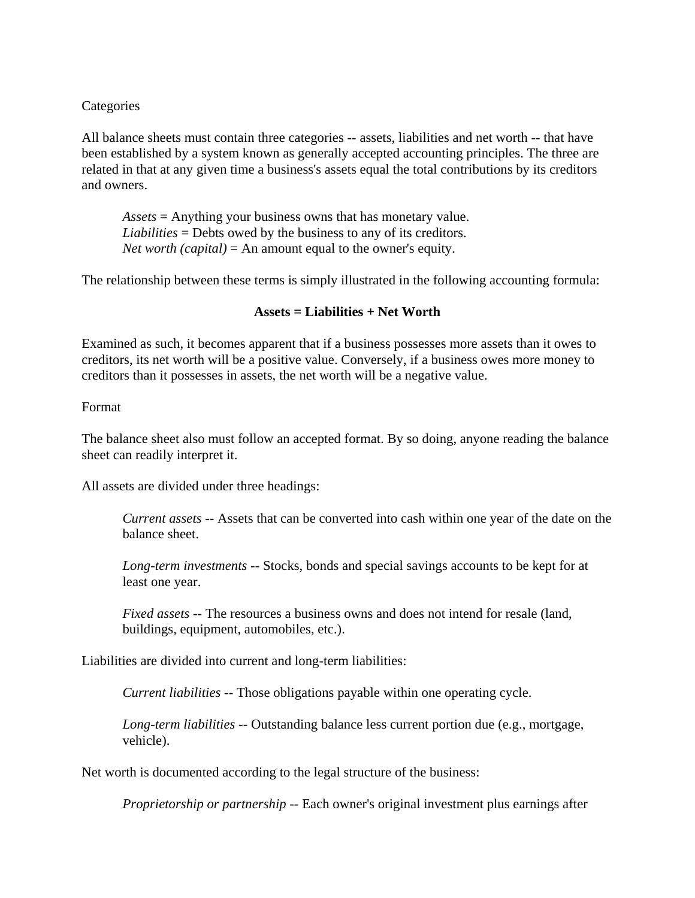### **Categories**

All balance sheets must contain three categories -- assets, liabilities and net worth -- that have been established by a system known as generally accepted accounting principles. The three are related in that at any given time a business's assets equal the total contributions by its creditors and owners.

 *Assets* = Anything your business owns that has monetary value.  *Liabilities* = Debts owed by the business to any of its creditors.  *Net worth (capital)* = An amount equal to the owner's equity.

The relationship between these terms is simply illustrated in the following accounting formula:

### **Assets = Liabilities + Net Worth**

Examined as such, it becomes apparent that if a business possesses more assets than it owes to creditors, its net worth will be a positive value. Conversely, if a business owes more money to creditors than it possesses in assets, the net worth will be a negative value.

#### Format

The balance sheet also must follow an accepted format. By so doing, anyone reading the balance sheet can readily interpret it.

All assets are divided under three headings:

 *Current assets* -- Assets that can be converted into cash within one year of the date on the balance sheet.

 *Long-term investments* -- Stocks, bonds and special savings accounts to be kept for at least one year.

 *Fixed assets* -- The resources a business owns and does not intend for resale (land, buildings, equipment, automobiles, etc.).

Liabilities are divided into current and long-term liabilities:

 *Current liabilities* -- Those obligations payable within one operating cycle.

 *Long-term liabilities* -- Outstanding balance less current portion due (e.g., mortgage, vehicle).

Net worth is documented according to the legal structure of the business:

 *Proprietorship or partnership* -- Each owner's original investment plus earnings after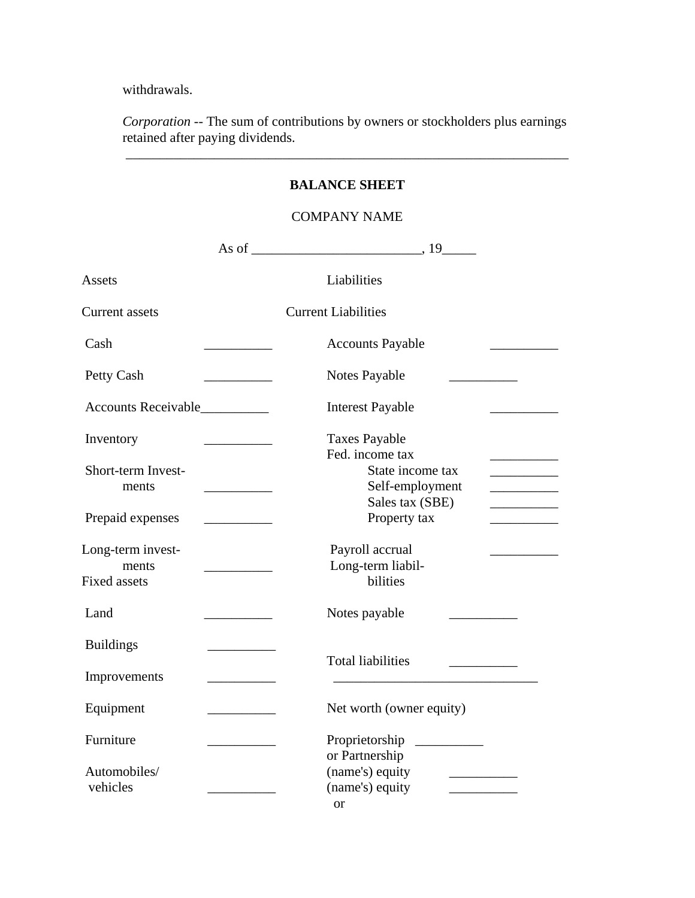withdrawals.

 *Corporation* -- The sum of contributions by owners or stockholders plus earnings retained after paying dividends.

 $\overline{\phantom{a}}$  ,  $\overline{\phantom{a}}$  ,  $\overline{\phantom{a}}$  ,  $\overline{\phantom{a}}$  ,  $\overline{\phantom{a}}$  ,  $\overline{\phantom{a}}$  ,  $\overline{\phantom{a}}$  ,  $\overline{\phantom{a}}$  ,  $\overline{\phantom{a}}$  ,  $\overline{\phantom{a}}$  ,  $\overline{\phantom{a}}$  ,  $\overline{\phantom{a}}$  ,  $\overline{\phantom{a}}$  ,  $\overline{\phantom{a}}$  ,  $\overline{\phantom{a}}$  ,  $\overline{\phantom{a}}$ 

|                                                   |                                 | <b>BALANCE SHEET</b>                                                                                                                                                                                        |
|---------------------------------------------------|---------------------------------|-------------------------------------------------------------------------------------------------------------------------------------------------------------------------------------------------------------|
|                                                   |                                 | <b>COMPANY NAME</b>                                                                                                                                                                                         |
|                                                   |                                 |                                                                                                                                                                                                             |
| Assets                                            |                                 | Liabilities                                                                                                                                                                                                 |
| <b>Current assets</b>                             |                                 | <b>Current Liabilities</b>                                                                                                                                                                                  |
| Cash                                              |                                 | <b>Accounts Payable</b>                                                                                                                                                                                     |
| Petty Cash                                        |                                 | Notes Payable                                                                                                                                                                                               |
| Accounts Receivable                               |                                 | <b>Interest Payable</b>                                                                                                                                                                                     |
| Inventory                                         |                                 | <b>Taxes Payable</b><br>Fed. income tax                                                                                                                                                                     |
| Short-term Invest-<br>ments                       |                                 | State income tax<br>___________<br>Self-employment                                                                                                                                                          |
| Prepaid expenses                                  |                                 | Sales tax (SBE)<br><u> 1999 - Johann Barnett, fransk politiker</u><br>Property tax<br><u> 1990 - Johann Barn, mars and de Branch Barn, mars and de Branch Barn, mars and de Branch Barn, mars and de Br</u> |
| Long-term invest-<br>ments<br><b>Fixed assets</b> | <u> Louis Communication</u>     | Payroll accrual<br>Long-term liabil-<br>bilities                                                                                                                                                            |
| Land                                              | <u> The Common State Common</u> | Notes payable                                                                                                                                                                                               |
| <b>Buildings</b>                                  |                                 |                                                                                                                                                                                                             |
| Improvements                                      |                                 | <b>Total liabilities</b>                                                                                                                                                                                    |
| Equipment                                         |                                 | Net worth (owner equity)                                                                                                                                                                                    |
| Furniture                                         |                                 | Proprietorship<br>or Partnership                                                                                                                                                                            |
| Automobiles/<br>vehicles                          |                                 | (name's) equity<br>(name's) equity<br><b>or</b>                                                                                                                                                             |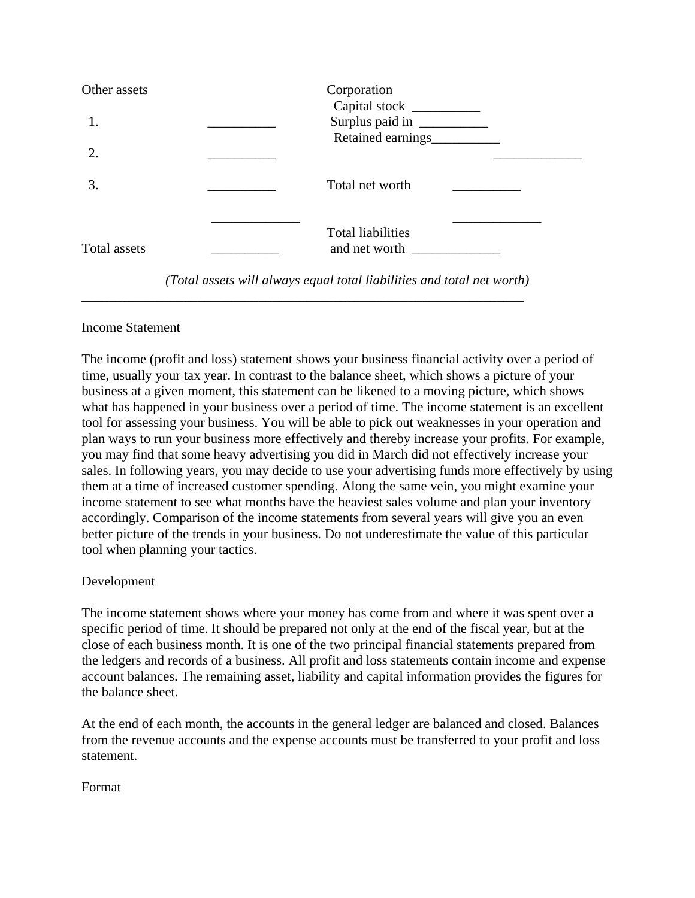| Other assets | Corporation                                     |  |
|--------------|-------------------------------------------------|--|
|              | Surplus paid in<br>Retained earnings            |  |
|              |                                                 |  |
| 3.           | Total net worth                                 |  |
| Total assets | <b>Total liabilities</b><br>and net worth _____ |  |
|              |                                                 |  |

*(Total assets will always equal total liabilities and total net worth)*

\_\_\_\_\_\_\_\_\_\_\_\_\_\_\_\_\_\_\_\_\_\_\_\_\_\_\_\_\_\_\_\_\_\_\_\_\_\_\_\_\_\_\_\_\_\_\_\_\_\_\_\_\_\_\_\_\_\_\_\_\_\_\_\_\_

### Income Statement

The income (profit and loss) statement shows your business financial activity over a period of time, usually your tax year. In contrast to the balance sheet, which shows a picture of your business at a given moment, this statement can be likened to a moving picture, which shows what has happened in your business over a period of time. The income statement is an excellent tool for assessing your business. You will be able to pick out weaknesses in your operation and plan ways to run your business more effectively and thereby increase your profits. For example, you may find that some heavy advertising you did in March did not effectively increase your sales. In following years, you may decide to use your advertising funds more effectively by using them at a time of increased customer spending. Along the same vein, you might examine your income statement to see what months have the heaviest sales volume and plan your inventory accordingly. Comparison of the income statements from several years will give you an even better picture of the trends in your business. Do not underestimate the value of this particular tool when planning your tactics.

# Development

The income statement shows where your money has come from and where it was spent over a specific period of time. It should be prepared not only at the end of the fiscal year, but at the close of each business month. It is one of the two principal financial statements prepared from the ledgers and records of a business. All profit and loss statements contain income and expense account balances. The remaining asset, liability and capital information provides the figures for the balance sheet.

At the end of each month, the accounts in the general ledger are balanced and closed. Balances from the revenue accounts and the expense accounts must be transferred to your profit and loss statement.

Format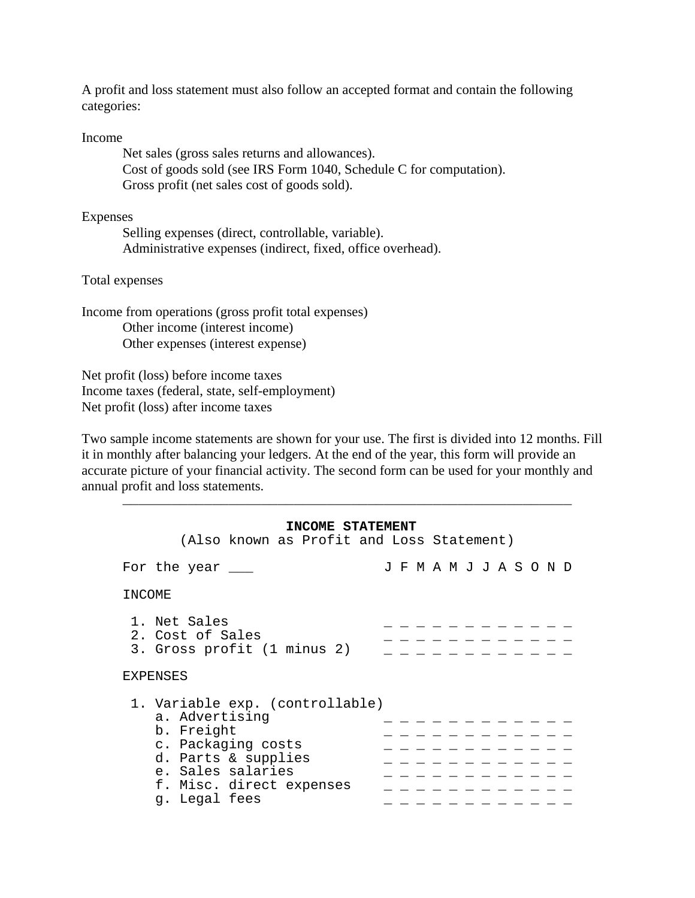A profit and loss statement must also follow an accepted format and contain the following categories:

Income

 Net sales (gross sales returns and allowances). Cost of goods sold (see IRS Form 1040, Schedule C for computation). Gross profit (net sales cost of goods sold).

Expenses

 Selling expenses (direct, controllable, variable). Administrative expenses (indirect, fixed, office overhead).

Total expenses

Income from operations (gross profit total expenses) Other income (interest income) Other expenses (interest expense)

Net profit (loss) before income taxes Income taxes (federal, state, self-employment) Net profit (loss) after income taxes

Two sample income statements are shown for your use. The first is divided into 12 months. Fill it in monthly after balancing your ledgers. At the end of the year, this form will provide an accurate picture of your financial activity. The second form can be used for your monthly and annual profit and loss statements. \_\_\_\_\_\_\_\_\_\_\_\_\_\_\_\_\_\_\_\_\_\_\_\_\_\_\_\_\_\_\_\_\_\_\_\_\_\_\_\_\_\_\_\_\_\_\_\_\_\_\_\_\_\_\_

#### **INCOME STATEMENT**

| (Also known as Profit and Loss Statement)                                                                                                                                      |                                       |
|--------------------------------------------------------------------------------------------------------------------------------------------------------------------------------|---------------------------------------|
| For the year                                                                                                                                                                   | J F M A M J J A S O N D               |
| INCOME                                                                                                                                                                         |                                       |
| 1. Net Sales<br>2. Cost of Sales<br>3. Gross profit (1 minus 2)                                                                                                                |                                       |
| <b>EXPENSES</b>                                                                                                                                                                |                                       |
| 1. Variable exp. (controllable)<br>a. Advertising<br>b. Freight<br>c. Packaging costs<br>d. Parts & supplies<br>e. Sales salaries<br>f. Misc. direct expenses<br>g. Legal fees | <u> 2020 - 2020 - 2020</u><br>$    -$ |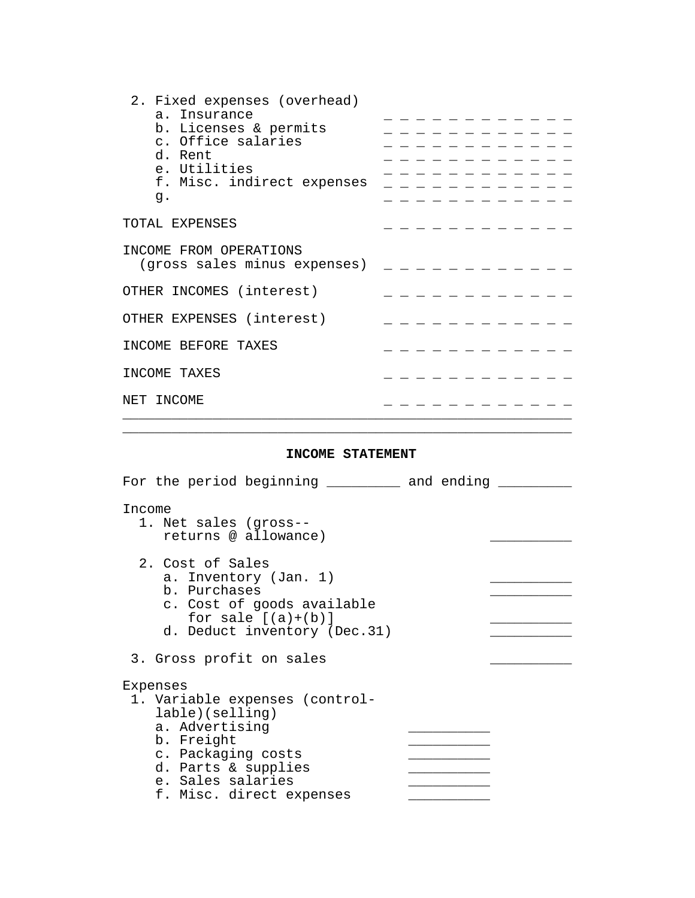| _ _ _ _ _ _ _ _ _ _ _<br>_ _ _ _ _ _ _ _ _ _ _<br>. <u>.</u> .<br>- - - - - - - - - -<br>f. Misc. indirect expenses |
|---------------------------------------------------------------------------------------------------------------------|
|                                                                                                                     |
|                                                                                                                     |
|                                                                                                                     |
|                                                                                                                     |
|                                                                                                                     |
|                                                                                                                     |
|                                                                                                                     |
|                                                                                                                     |
| (gross sales minus expenses)                                                                                        |
|                                                                                                                     |
|                                                                                                                     |
|                                                                                                                     |
|                                                                                                                     |
|                                                                                                                     |
|                                                                                                                     |

#### **INCOME STATEMENT**

 $\overline{\phantom{a}}$  ,  $\overline{\phantom{a}}$  ,  $\overline{\phantom{a}}$  ,  $\overline{\phantom{a}}$  ,  $\overline{\phantom{a}}$  ,  $\overline{\phantom{a}}$  ,  $\overline{\phantom{a}}$  ,  $\overline{\phantom{a}}$  ,  $\overline{\phantom{a}}$  ,  $\overline{\phantom{a}}$  ,  $\overline{\phantom{a}}$  ,  $\overline{\phantom{a}}$  ,  $\overline{\phantom{a}}$  ,  $\overline{\phantom{a}}$  ,  $\overline{\phantom{a}}$  ,  $\overline{\phantom{a}}$ 

| For the period beginning __________ and ending _                                                                                                                                            |  |
|---------------------------------------------------------------------------------------------------------------------------------------------------------------------------------------------|--|
| Income<br>1. Net sales (gross--<br>returns @ allowance)                                                                                                                                     |  |
| 2. Cost of Sales<br>a. Inventory (Jan. 1)<br>b. Purchases<br>c. Cost of goods available<br>for sale $[(a)+(b)]$<br>d. Deduct inventory (Dec.31)                                             |  |
| 3. Gross profit on sales                                                                                                                                                                    |  |
| Expenses<br>1. Variable expenses (control-<br>lable)(selling)<br>a. Advertising<br>b. Freight<br>c. Packaging costs<br>d. Parts & supplies<br>e. Sales salaries<br>f. Misc. direct expenses |  |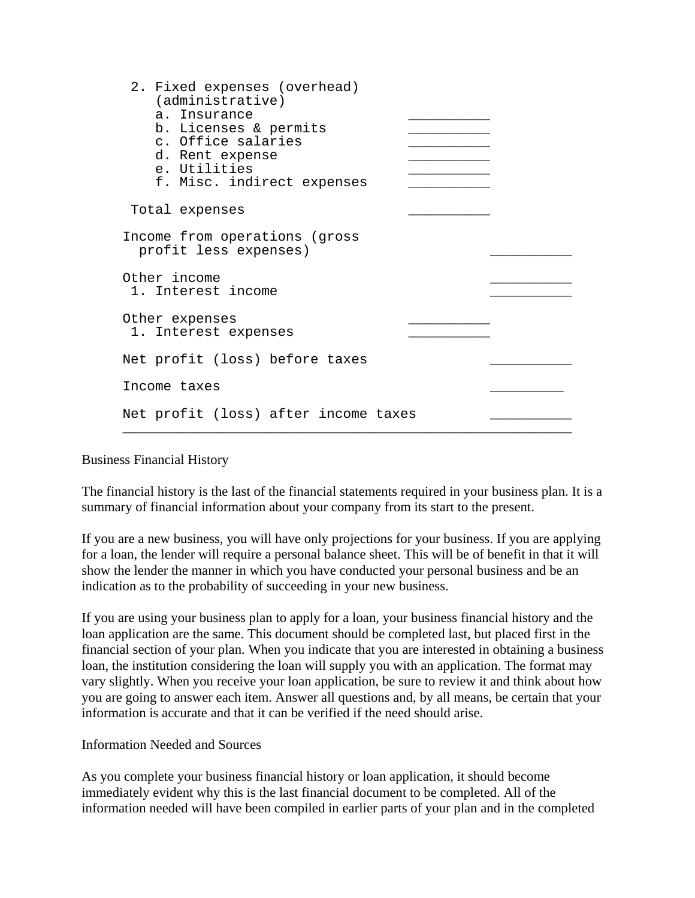| 2. Fixed expenses (overhead)<br>(administrative)<br>a. Insurance<br>b. Licenses & permits<br>c. Office salaries<br>d. Rent expense<br>e. Utilities<br>f. Misc. indirect expenses |  |
|----------------------------------------------------------------------------------------------------------------------------------------------------------------------------------|--|
| Total expenses                                                                                                                                                                   |  |
| Income from operations (gross<br>profit less expenses)                                                                                                                           |  |
| Other income<br>1. Interest income                                                                                                                                               |  |
| Other expenses<br>1. Interest expenses                                                                                                                                           |  |
| Net profit (loss) before taxes                                                                                                                                                   |  |
| Income taxes                                                                                                                                                                     |  |
| Net profit (loss) after income taxes                                                                                                                                             |  |

Business Financial History

The financial history is the last of the financial statements required in your business plan. It is a summary of financial information about your company from its start to the present.

If you are a new business, you will have only projections for your business. If you are applying for a loan, the lender will require a personal balance sheet. This will be of benefit in that it will show the lender the manner in which you have conducted your personal business and be an indication as to the probability of succeeding in your new business.

If you are using your business plan to apply for a loan, your business financial history and the loan application are the same. This document should be completed last, but placed first in the financial section of your plan. When you indicate that you are interested in obtaining a business loan, the institution considering the loan will supply you with an application. The format may vary slightly. When you receive your loan application, be sure to review it and think about how you are going to answer each item. Answer all questions and, by all means, be certain that your information is accurate and that it can be verified if the need should arise.

Information Needed and Sources

As you complete your business financial history or loan application, it should become immediately evident why this is the last financial document to be completed. All of the information needed will have been compiled in earlier parts of your plan and in the completed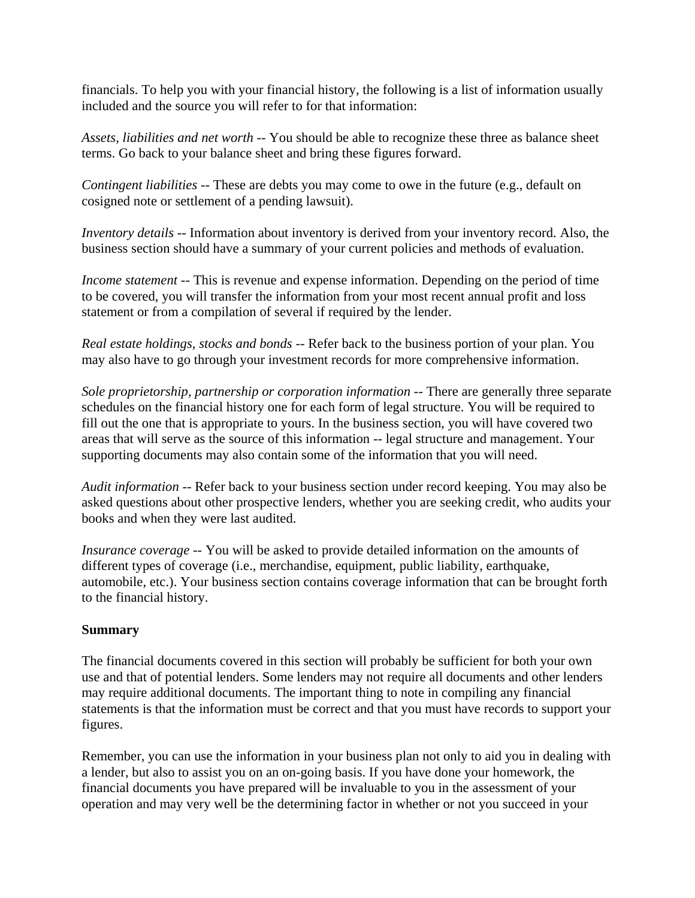financials. To help you with your financial history, the following is a list of information usually included and the source you will refer to for that information:

*Assets, liabilities and net worth* -- You should be able to recognize these three as balance sheet terms. Go back to your balance sheet and bring these figures forward.

*Contingent liabilities* -- These are debts you may come to owe in the future (e.g., default on cosigned note or settlement of a pending lawsuit).

*Inventory details* -- Information about inventory is derived from your inventory record. Also, the business section should have a summary of your current policies and methods of evaluation.

*Income statement* -- This is revenue and expense information. Depending on the period of time to be covered, you will transfer the information from your most recent annual profit and loss statement or from a compilation of several if required by the lender.

*Real estate holdings, stocks and bonds* -- Refer back to the business portion of your plan. You may also have to go through your investment records for more comprehensive information.

*Sole proprietorship, partnership or corporation information* -- There are generally three separate schedules on the financial history one for each form of legal structure. You will be required to fill out the one that is appropriate to yours. In the business section, you will have covered two areas that will serve as the source of this information -- legal structure and management. Your supporting documents may also contain some of the information that you will need.

*Audit information* -- Refer back to your business section under record keeping. You may also be asked questions about other prospective lenders, whether you are seeking credit, who audits your books and when they were last audited.

*Insurance coverage* -- You will be asked to provide detailed information on the amounts of different types of coverage (i.e., merchandise, equipment, public liability, earthquake, automobile, etc.). Your business section contains coverage information that can be brought forth to the financial history.

# **Summary**

The financial documents covered in this section will probably be sufficient for both your own use and that of potential lenders. Some lenders may not require all documents and other lenders may require additional documents. The important thing to note in compiling any financial statements is that the information must be correct and that you must have records to support your figures.

Remember, you can use the information in your business plan not only to aid you in dealing with a lender, but also to assist you on an on-going basis. If you have done your homework, the financial documents you have prepared will be invaluable to you in the assessment of your operation and may very well be the determining factor in whether or not you succeed in your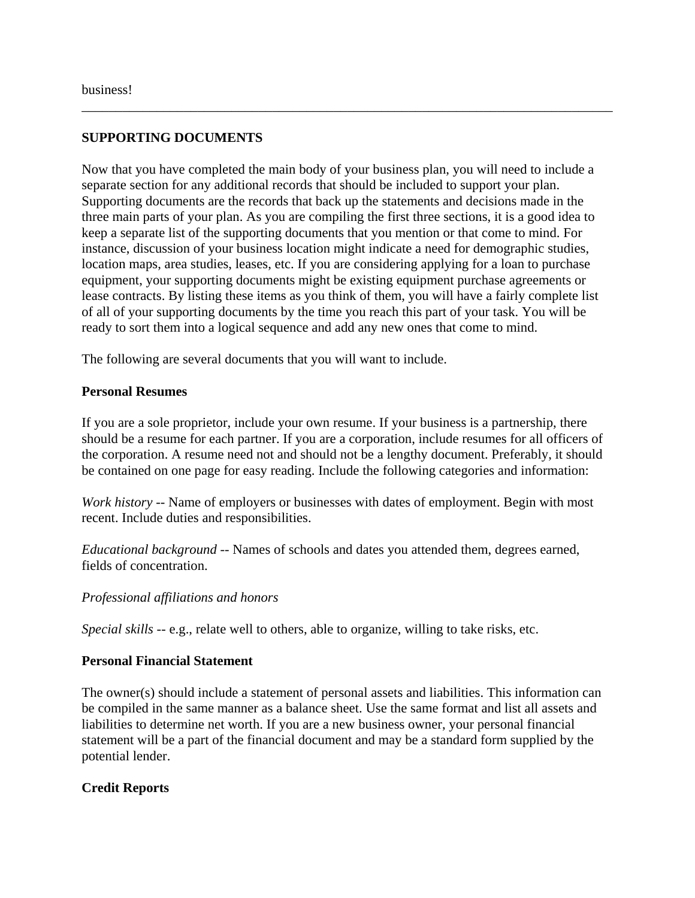# **SUPPORTING DOCUMENTS**

Now that you have completed the main body of your business plan, you will need to include a separate section for any additional records that should be included to support your plan. Supporting documents are the records that back up the statements and decisions made in the three main parts of your plan. As you are compiling the first three sections, it is a good idea to keep a separate list of the supporting documents that you mention or that come to mind. For instance, discussion of your business location might indicate a need for demographic studies, location maps, area studies, leases, etc. If you are considering applying for a loan to purchase equipment, your supporting documents might be existing equipment purchase agreements or lease contracts. By listing these items as you think of them, you will have a fairly complete list of all of your supporting documents by the time you reach this part of your task. You will be ready to sort them into a logical sequence and add any new ones that come to mind.

\_\_\_\_\_\_\_\_\_\_\_\_\_\_\_\_\_\_\_\_\_\_\_\_\_\_\_\_\_\_\_\_\_\_\_\_\_\_\_\_\_\_\_\_\_\_\_\_\_\_\_\_\_\_\_\_\_\_\_\_\_\_\_\_\_\_\_\_\_\_\_\_\_\_\_\_\_\_

The following are several documents that you will want to include.

#### **Personal Resumes**

If you are a sole proprietor, include your own resume. If your business is a partnership, there should be a resume for each partner. If you are a corporation, include resumes for all officers of the corporation. A resume need not and should not be a lengthy document. Preferably, it should be contained on one page for easy reading. Include the following categories and information:

*Work history* -- Name of employers or businesses with dates of employment. Begin with most recent. Include duties and responsibilities.

*Educational background* -- Names of schools and dates you attended them, degrees earned, fields of concentration.

#### *Professional affiliations and honors*

*Special skills* -- e.g., relate well to others, able to organize, willing to take risks, etc.

### **Personal Financial Statement**

The owner(s) should include a statement of personal assets and liabilities. This information can be compiled in the same manner as a balance sheet. Use the same format and list all assets and liabilities to determine net worth. If you are a new business owner, your personal financial statement will be a part of the financial document and may be a standard form supplied by the potential lender.

### **Credit Reports**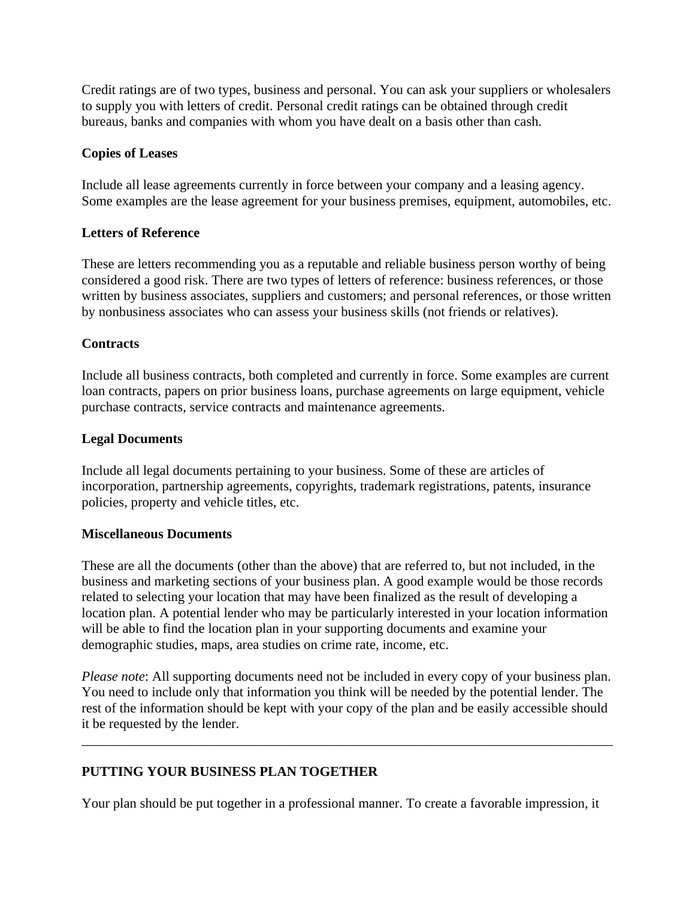Credit ratings are of two types, business and personal. You can ask your suppliers or wholesalers to supply you with letters of credit. Personal credit ratings can be obtained through credit bureaus, banks and companies with whom you have dealt on a basis other than cash.

### **Copies of Leases**

Include all lease agreements currently in force between your company and a leasing agency. Some examples are the lease agreement for your business premises, equipment, automobiles, etc.

### **Letters of Reference**

These are letters recommending you as a reputable and reliable business person worthy of being considered a good risk. There are two types of letters of reference: business references, or those written by business associates, suppliers and customers; and personal references, or those written by nonbusiness associates who can assess your business skills (not friends or relatives).

# **Contracts**

Include all business contracts, both completed and currently in force. Some examples are current loan contracts, papers on prior business loans, purchase agreements on large equipment, vehicle purchase contracts, service contracts and maintenance agreements.

### **Legal Documents**

Include all legal documents pertaining to your business. Some of these are articles of incorporation, partnership agreements, copyrights, trademark registrations, patents, insurance policies, property and vehicle titles, etc.

### **Miscellaneous Documents**

These are all the documents (other than the above) that are referred to, but not included, in the business and marketing sections of your business plan. A good example would be those records related to selecting your location that may have been finalized as the result of developing a location plan. A potential lender who may be particularly interested in your location information will be able to find the location plan in your supporting documents and examine your demographic studies, maps, area studies on crime rate, income, etc.

*Please note*: All supporting documents need not be included in every copy of your business plan. You need to include only that information you think will be needed by the potential lender. The rest of the information should be kept with your copy of the plan and be easily accessible should it be requested by the lender.

\_\_\_\_\_\_\_\_\_\_\_\_\_\_\_\_\_\_\_\_\_\_\_\_\_\_\_\_\_\_\_\_\_\_\_\_\_\_\_\_\_\_\_\_\_\_\_\_\_\_\_\_\_\_\_\_\_\_\_\_\_\_\_\_\_\_\_\_\_\_\_\_\_\_\_\_\_\_

# **PUTTING YOUR BUSINESS PLAN TOGETHER**

Your plan should be put together in a professional manner. To create a favorable impression, it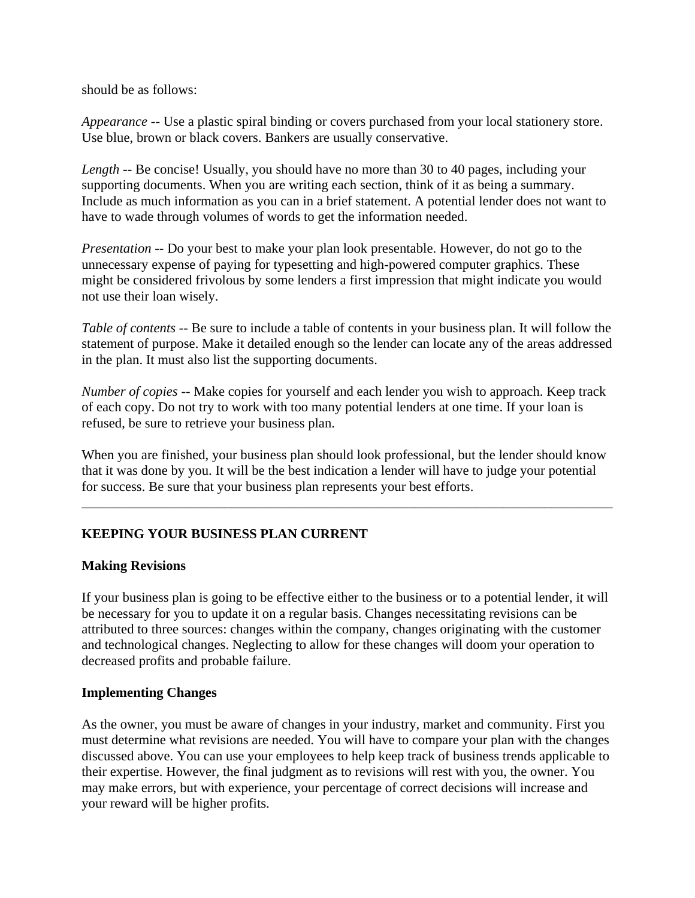should be as follows:

*Appearance* -- Use a plastic spiral binding or covers purchased from your local stationery store. Use blue, brown or black covers. Bankers are usually conservative.

*Length* -- Be concise! Usually, you should have no more than 30 to 40 pages, including your supporting documents. When you are writing each section, think of it as being a summary. Include as much information as you can in a brief statement. A potential lender does not want to have to wade through volumes of words to get the information needed.

*Presentation* -- Do your best to make your plan look presentable. However, do not go to the unnecessary expense of paying for typesetting and high-powered computer graphics. These might be considered frivolous by some lenders a first impression that might indicate you would not use their loan wisely.

*Table of contents* -- Be sure to include a table of contents in your business plan. It will follow the statement of purpose. Make it detailed enough so the lender can locate any of the areas addressed in the plan. It must also list the supporting documents.

*Number of copies* -- Make copies for yourself and each lender you wish to approach. Keep track of each copy. Do not try to work with too many potential lenders at one time. If your loan is refused, be sure to retrieve your business plan.

When you are finished, your business plan should look professional, but the lender should know that it was done by you. It will be the best indication a lender will have to judge your potential for success. Be sure that your business plan represents your best efforts.

\_\_\_\_\_\_\_\_\_\_\_\_\_\_\_\_\_\_\_\_\_\_\_\_\_\_\_\_\_\_\_\_\_\_\_\_\_\_\_\_\_\_\_\_\_\_\_\_\_\_\_\_\_\_\_\_\_\_\_\_\_\_\_\_\_\_\_\_\_\_\_\_\_\_\_\_\_\_

# **KEEPING YOUR BUSINESS PLAN CURRENT**

### **Making Revisions**

If your business plan is going to be effective either to the business or to a potential lender, it will be necessary for you to update it on a regular basis. Changes necessitating revisions can be attributed to three sources: changes within the company, changes originating with the customer and technological changes. Neglecting to allow for these changes will doom your operation to decreased profits and probable failure.

### **Implementing Changes**

As the owner, you must be aware of changes in your industry, market and community. First you must determine what revisions are needed. You will have to compare your plan with the changes discussed above. You can use your employees to help keep track of business trends applicable to their expertise. However, the final judgment as to revisions will rest with you, the owner. You may make errors, but with experience, your percentage of correct decisions will increase and your reward will be higher profits.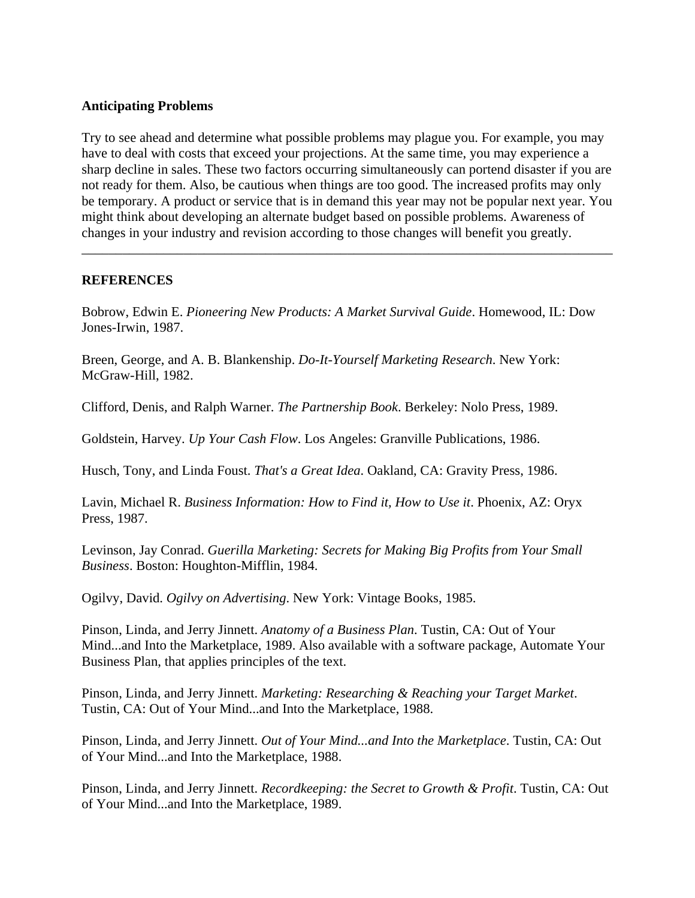### **Anticipating Problems**

Try to see ahead and determine what possible problems may plague you. For example, you may have to deal with costs that exceed your projections. At the same time, you may experience a sharp decline in sales. These two factors occurring simultaneously can portend disaster if you are not ready for them. Also, be cautious when things are too good. The increased profits may only be temporary. A product or service that is in demand this year may not be popular next year. You might think about developing an alternate budget based on possible problems. Awareness of changes in your industry and revision according to those changes will benefit you greatly.

\_\_\_\_\_\_\_\_\_\_\_\_\_\_\_\_\_\_\_\_\_\_\_\_\_\_\_\_\_\_\_\_\_\_\_\_\_\_\_\_\_\_\_\_\_\_\_\_\_\_\_\_\_\_\_\_\_\_\_\_\_\_\_\_\_\_\_\_\_\_\_\_\_\_\_\_\_\_

# **REFERENCES**

Bobrow, Edwin E. *Pioneering New Products: A Market Survival Guide*. Homewood, IL: Dow Jones-Irwin, 1987.

Breen, George, and A. B. Blankenship. *Do-It-Yourself Marketing Research*. New York: McGraw-Hill, 1982.

Clifford, Denis, and Ralph Warner. *The Partnership Book*. Berkeley: Nolo Press, 1989.

Goldstein, Harvey. *Up Your Cash Flow*. Los Angeles: Granville Publications, 1986.

Husch, Tony, and Linda Foust. *That's a Great Idea*. Oakland, CA: Gravity Press, 1986.

Lavin, Michael R. *Business Information: How to Find it, How to Use it*. Phoenix, AZ: Oryx Press, 1987.

Levinson, Jay Conrad. *Guerilla Marketing: Secrets for Making Big Profits from Your Small Business*. Boston: Houghton-Mifflin, 1984.

Ogilvy, David. *Ogilvy on Advertising*. New York: Vintage Books, 1985.

Pinson, Linda, and Jerry Jinnett. *Anatomy of a Business Plan*. Tustin, CA: Out of Your Mind...and Into the Marketplace, 1989. Also available with a software package, Automate Your Business Plan, that applies principles of the text.

Pinson, Linda, and Jerry Jinnett. *Marketing: Researching & Reaching your Target Market*. Tustin, CA: Out of Your Mind...and Into the Marketplace, 1988.

Pinson, Linda, and Jerry Jinnett. *Out of Your Mind...and Into the Marketplace*. Tustin, CA: Out of Your Mind...and Into the Marketplace, 1988.

Pinson, Linda, and Jerry Jinnett. *Recordkeeping: the Secret to Growth & Profit*. Tustin, CA: Out of Your Mind...and Into the Marketplace, 1989.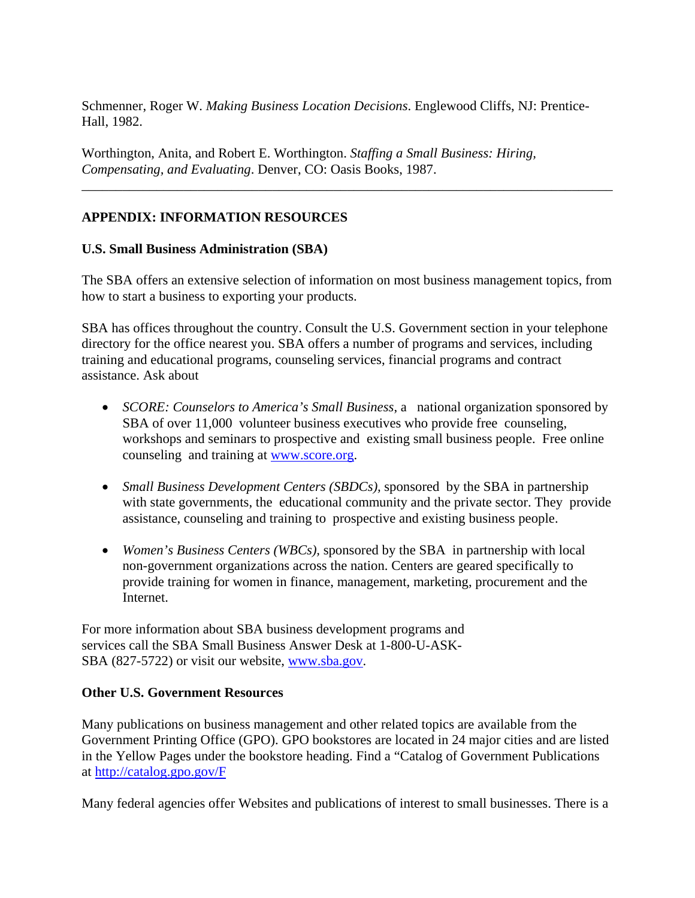Schmenner, Roger W. *Making Business Location Decisions*. Englewood Cliffs, NJ: Prentice-Hall, 1982.

Worthington, Anita, and Robert E. Worthington. *Staffing a Small Business: Hiring, Compensating, and Evaluating*. Denver, CO: Oasis Books, 1987.

# **APPENDIX: INFORMATION RESOURCES**

### **U.S. Small Business Administration (SBA)**

The SBA offers an extensive selection of information on most business management topics, from how to start a business to exporting your products.

\_\_\_\_\_\_\_\_\_\_\_\_\_\_\_\_\_\_\_\_\_\_\_\_\_\_\_\_\_\_\_\_\_\_\_\_\_\_\_\_\_\_\_\_\_\_\_\_\_\_\_\_\_\_\_\_\_\_\_\_\_\_\_\_\_\_\_\_\_\_\_\_\_\_\_\_\_\_

SBA has offices throughout the country. Consult the U.S. Government section in your telephone directory for the office nearest you. SBA offers a number of programs and services, including training and educational programs, counseling services, financial programs and contract assistance. Ask about

- *SCORE: Counselors to America's Small Business*, a national organization sponsored by SBA of over 11,000 volunteer business executives who provide free counseling, workshops and seminars to prospective and existing small business people. Free online counseling and training at www.score.org.
- *Small Business Development Centers (SBDCs),* sponsored by the SBA in partnership with state governments, the educational community and the private sector. They provide assistance, counseling and training to prospective and existing business people.
- *Women's Business Centers (WBCs),* sponsored by the SBA in partnership with local non-government organizations across the nation. Centers are geared specifically to provide training for women in finance, management, marketing, procurement and the Internet.

For more information about SBA business development programs and services call the SBA Small Business Answer Desk at 1-800-U-ASK-SBA (827-5722) or visit our website, www.sba.gov.

### **Other U.S. Government Resources**

Many publications on business management and other related topics are available from the Government Printing Office (GPO). GPO bookstores are located in 24 major cities and are listed in the Yellow Pages under the bookstore heading. Find a "Catalog of Government Publications at http://catalog.gpo.gov/F

Many federal agencies offer Websites and publications of interest to small businesses. There is a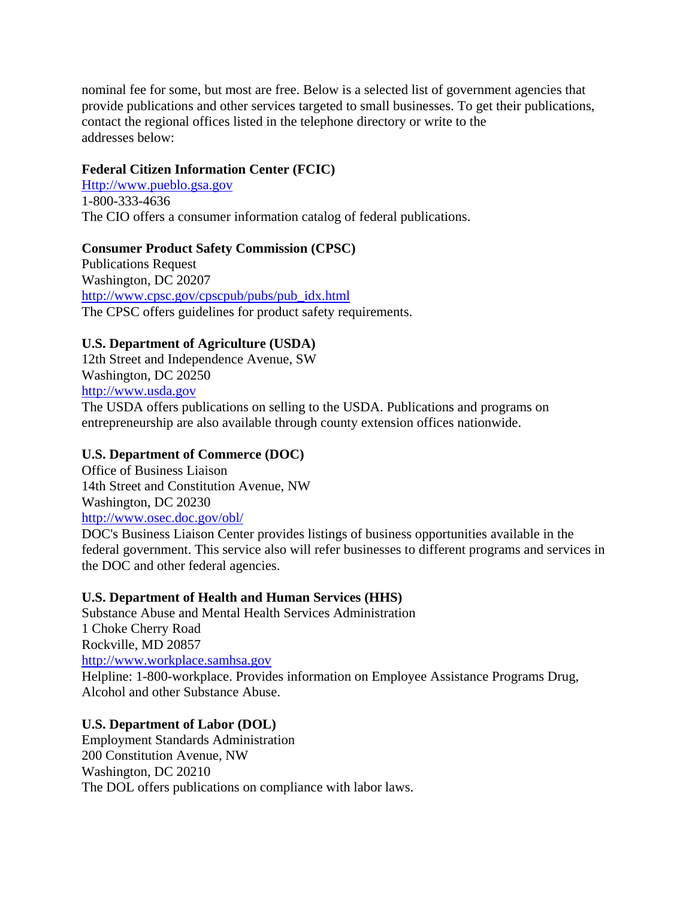nominal fee for some, but most are free. Below is a selected list of government agencies that provide publications and other services targeted to small businesses. To get their publications, contact the regional offices listed in the telephone directory or write to the addresses below:

### **Federal Citizen Information Center (FCIC)**

Http://www.pueblo.gsa.gov 1-800-333-4636 The CIO offers a consumer information catalog of federal publications.

### **Consumer Product Safety Commission (CPSC)**

Publications Request Washington, DC 20207 http://www.cpsc.gov/cpscpub/pubs/pub\_idx.html The CPSC offers guidelines for product safety requirements.

### **U.S. Department of Agriculture (USDA)**

12th Street and Independence Avenue, SW Washington, DC 20250 http://www.usda.gov The USDA offers publications on selling to the USDA. Publications and programs on entrepreneurship are also available through county extension offices nationwide.

### **U.S. Department of Commerce (DOC)**

Office of Business Liaison 14th Street and Constitution Avenue, NW Washington, DC 20230 http://www.osec.doc.gov/obl/

DOC's Business Liaison Center provides listings of business opportunities available in the federal government. This service also will refer businesses to different programs and services in the DOC and other federal agencies.

### **U.S. Department of Health and Human Services (HHS)**

Substance Abuse and Mental Health Services Administration 1 Choke Cherry Road Rockville, MD 20857 http://www.workplace.samhsa.gov Helpline: 1-800-workplace. Provides information on Employee Assistance Programs Drug, Alcohol and other Substance Abuse.

### **U.S. Department of Labor (DOL)**

Employment Standards Administration 200 Constitution Avenue, NW Washington, DC 20210 The DOL offers publications on compliance with labor laws.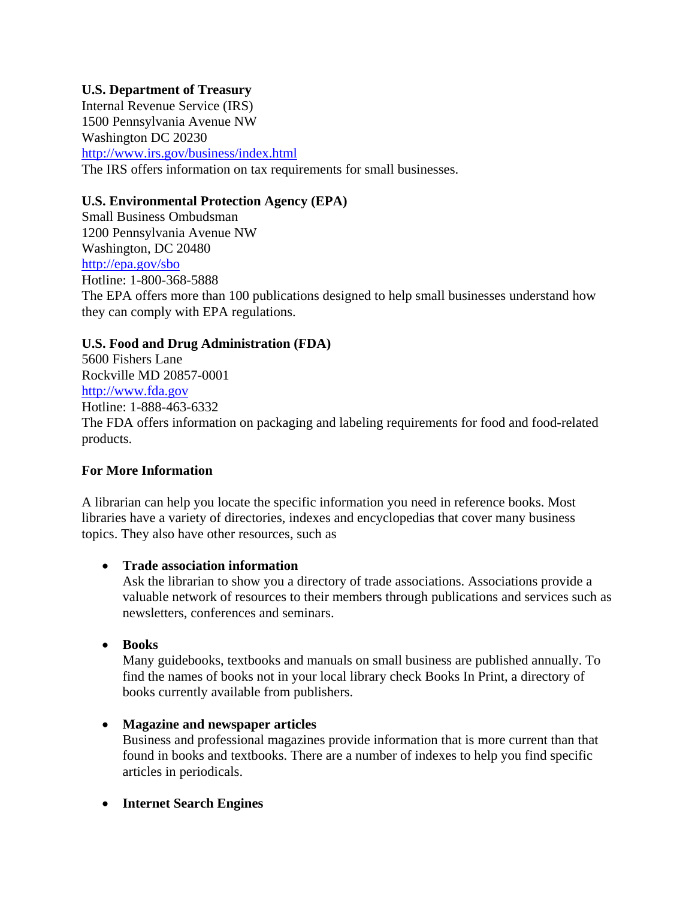## **U.S. Department of Treasury**

Internal Revenue Service (IRS) 1500 Pennsylvania Avenue NW Washington DC 20230 http://www.irs.gov/business/index.html The IRS offers information on tax requirements for small businesses.

### **U.S. Environmental Protection Agency (EPA)**

Small Business Ombudsman 1200 Pennsylvania Avenue NW Washington, DC 20480 http://epa.gov/sbo Hotline: 1-800-368-5888 The EPA offers more than 100 publications designed to help small businesses understand how they can comply with EPA regulations.

### **U.S. Food and Drug Administration (FDA)**

5600 Fishers Lane Rockville MD 20857-0001 http://www.fda.gov Hotline: 1-888-463-6332 The FDA offers information on packaging and labeling requirements for food and food-related products.

### **For More Information**

A librarian can help you locate the specific information you need in reference books. Most libraries have a variety of directories, indexes and encyclopedias that cover many business topics. They also have other resources, such as

### • **Trade association information**

Ask the librarian to show you a directory of trade associations. Associations provide a valuable network of resources to their members through publications and services such as newsletters, conferences and seminars.

• **Books** 

Many guidebooks, textbooks and manuals on small business are published annually. To find the names of books not in your local library check Books In Print, a directory of books currently available from publishers.

### • **Magazine and newspaper articles**

Business and professional magazines provide information that is more current than that found in books and textbooks. There are a number of indexes to help you find specific articles in periodicals.

• **Internet Search Engines**